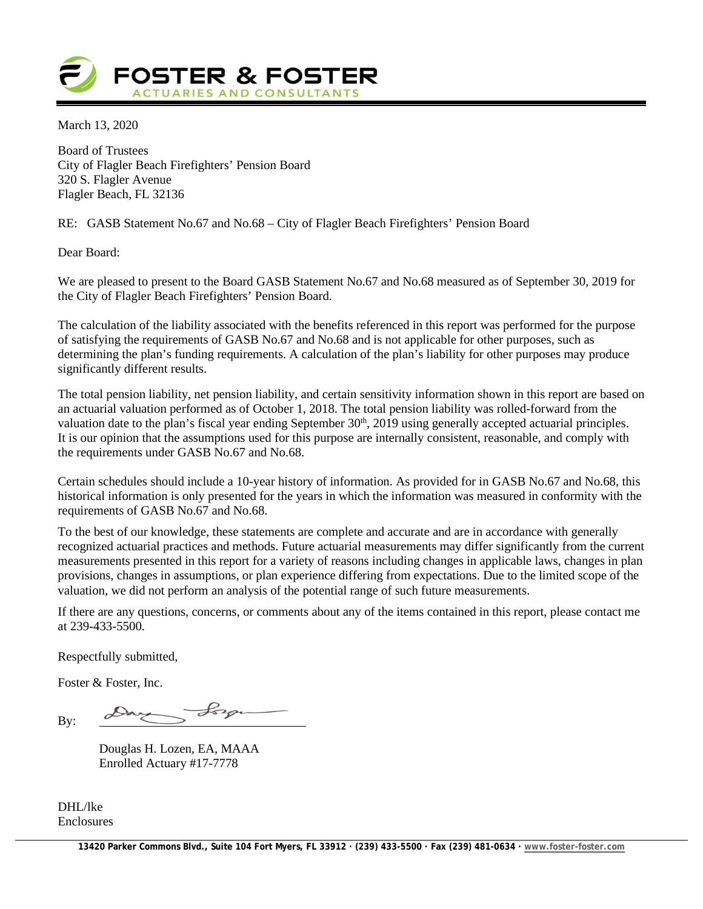

March 13, 2020

Board of Trustees City of Flagler Beach Firefighters' Pension Board 320 S. Flagler Avenue Flagler Beach, FL 32136

RE: GASB Statement No.67 and No.68 – City of Flagler Beach Firefighters' Pension Board

Dear Board:

We are pleased to present to the Board GASB Statement No.67 and No.68 measured as of September 30, 2019 for the City of Flagler Beach Firefighters' Pension Board.

The calculation of the liability associated with the benefits referenced in this report was performed for the purpose of satisfying the requirements of GASB No.67 and No.68 and is not applicable for other purposes, such as determining the plan's funding requirements. A calculation of the plan's liability for other purposes may produce significantly different results.

The total pension liability, net pension liability, and certain sensitivity information shown in this report are based on an actuarial valuation performed as of October 1, 2018. The total pension liability was rolled-forward from the valuation date to the plan's fiscal year ending September 30<sup>th</sup>, 2019 using generally accepted actuarial principles. It is our opinion that the assumptions used for this purpose are internally consistent, reasonable, and comply with the requirements under GASB No.67 and No.68.

Certain schedules should include a 10-year history of information. As provided for in GASB No.67 and No.68, this historical information is only presented for the years in which the information was measured in conformity with the requirements of GASB No.67 and No.68.

To the best of our knowledge, these statements are complete and accurate and are in accordance with generally recognized actuarial practices and methods. Future actuarial measurements may differ significantly from the current measurements presented in this report for a variety of reasons including changes in applicable laws, changes in plan provisions, changes in assumptions, or plan experience differing from expectations. Due to the limited scope of the valuation, we did not perform an analysis of the potential range of such future measurements.

If there are any questions, concerns, or comments about any of the items contained in this report, please contact me at  $239 - 433 - 5500$ .

Respectfully submitted,

Foster & Foster, Inc.

ay Lorge By:

Douglas H. Lozen, EA, MAAA Enrolled Actuary #17-7778

DHI /lke Enclosures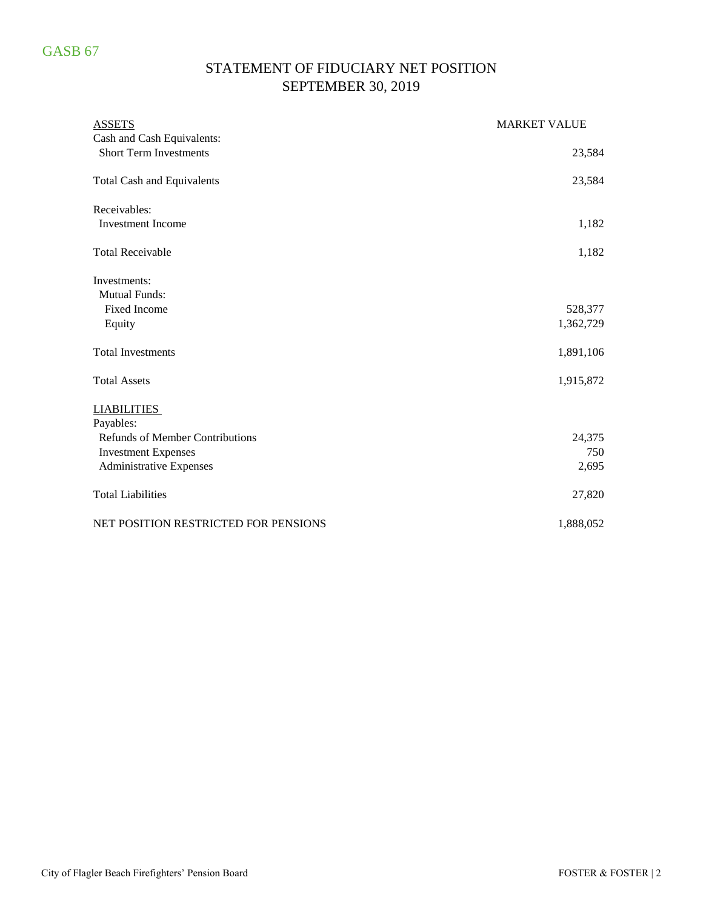# STATEMENT OF FIDUCIARY NET POSITION SEPTEMBER 30, 2019

| <b>ASSETS</b>                          | <b>MARKET VALUE</b> |
|----------------------------------------|---------------------|
| Cash and Cash Equivalents:             |                     |
| <b>Short Term Investments</b>          | 23,584              |
| <b>Total Cash and Equivalents</b>      | 23,584              |
| Receivables:                           |                     |
| <b>Investment Income</b>               | 1,182               |
| <b>Total Receivable</b>                | 1,182               |
| Investments:                           |                     |
| <b>Mutual Funds:</b>                   |                     |
| <b>Fixed Income</b>                    | 528,377             |
| Equity                                 | 1,362,729           |
| <b>Total Investments</b>               | 1,891,106           |
| <b>Total Assets</b>                    | 1,915,872           |
| <b>LIABILITIES</b>                     |                     |
| Payables:                              |                     |
| <b>Refunds of Member Contributions</b> | 24,375              |
| <b>Investment Expenses</b>             | 750                 |
| <b>Administrative Expenses</b>         | 2,695               |
| <b>Total Liabilities</b>               | 27,820              |
| NET POSITION RESTRICTED FOR PENSIONS   | 1,888,052           |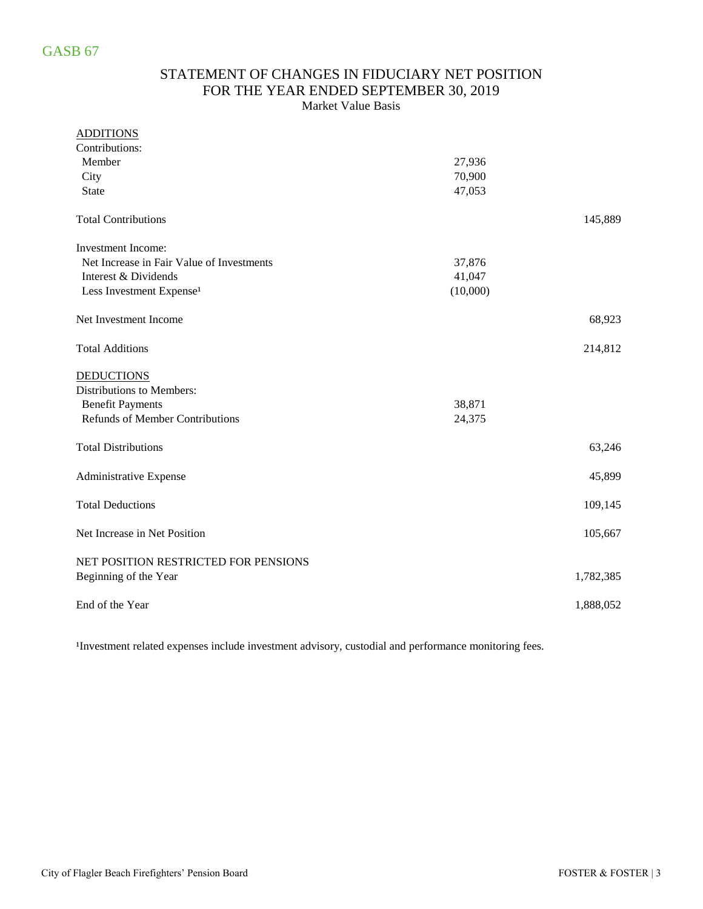### STATEMENT OF CHANGES IN FIDUCIARY NET POSITION FOR THE YEAR ENDED SEPTEMBER 30, 2019 Market Value Basis

### ADDITIONS

| Contributions:                            |          |           |
|-------------------------------------------|----------|-----------|
| Member                                    | 27,936   |           |
| City                                      | 70,900   |           |
| <b>State</b>                              | 47,053   |           |
| <b>Total Contributions</b>                |          | 145,889   |
| <b>Investment Income:</b>                 |          |           |
| Net Increase in Fair Value of Investments | 37,876   |           |
| Interest & Dividends                      | 41,047   |           |
| Less Investment Expense <sup>1</sup>      | (10,000) |           |
| Net Investment Income                     |          | 68,923    |
| <b>Total Additions</b>                    |          | 214,812   |
| <b>DEDUCTIONS</b>                         |          |           |
| Distributions to Members:                 |          |           |
| <b>Benefit Payments</b>                   | 38,871   |           |
| Refunds of Member Contributions           | 24,375   |           |
| <b>Total Distributions</b>                |          | 63,246    |
| Administrative Expense                    |          | 45,899    |
| <b>Total Deductions</b>                   |          | 109,145   |
| Net Increase in Net Position              |          | 105,667   |
| NET POSITION RESTRICTED FOR PENSIONS      |          |           |
| Beginning of the Year                     |          | 1,782,385 |
| End of the Year                           |          | 1,888,052 |

<sup>1</sup>Investment related expenses include investment advisory, custodial and performance monitoring fees.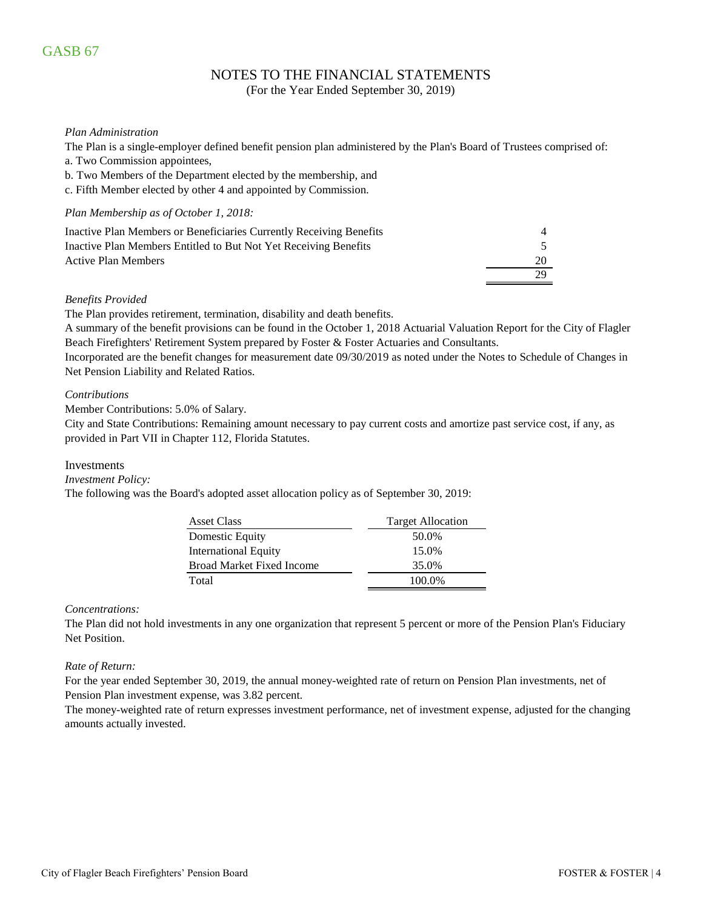### NOTES TO THE FINANCIAL STATEMENTS

(For the Year Ended September 30, 2019)

#### *Plan Administration*

The Plan is a single-employer defined benefit pension plan administered by the Plan's Board of Trustees comprised of:

- a. Two Commission appointees,
- b. Two Members of the Department elected by the membership, and
- c. Fifth Member elected by other 4 and appointed by Commission.

#### *Plan Membership as of October 1, 2018:*

| Inactive Plan Members or Beneficiaries Currently Receiving Benefits |    |
|---------------------------------------------------------------------|----|
| Inactive Plan Members Entitled to But Not Yet Receiving Benefits    |    |
| Active Plan Members                                                 | 20 |
|                                                                     |    |

#### *Benefits Provided*

The Plan provides retirement, termination, disability and death benefits.

A summary of the benefit provisions can be found in the October 1, 2018 Actuarial Valuation Report for the City of Flagler Beach Firefighters' Retirement System prepared by Foster & Foster Actuaries and Consultants.

Incorporated are the benefit changes for measurement date 09/30/2019 as noted under the Notes to Schedule of Changes in Net Pension Liability and Related Ratios.

#### *Contributions*

Member Contributions: 5.0% of Salary.

City and State Contributions: Remaining amount necessary to pay current costs and amortize past service cost, if any, as provided in Part VII in Chapter 112, Florida Statutes.

#### Investments

*Investment Policy:*

The following was the Board's adopted asset allocation policy as of September 30, 2019:

| <b>Asset Class</b>               | <b>Target Allocation</b> |
|----------------------------------|--------------------------|
| Domestic Equity                  | 50.0%                    |
| <b>International Equity</b>      | 15.0%                    |
| <b>Broad Market Fixed Income</b> | 35.0%                    |
| Total                            | 100.0%                   |

#### *Concentrations:*

The Plan did not hold investments in any one organization that represent 5 percent or more of the Pension Plan's Fiduciary Net Position.

#### *Rate of Return:*

For the year ended September 30, 2019, the annual money-weighted rate of return on Pension Plan investments, net of Pension Plan investment expense, was 3.82 percent.

The money-weighted rate of return expresses investment performance, net of investment expense, adjusted for the changing amounts actually invested.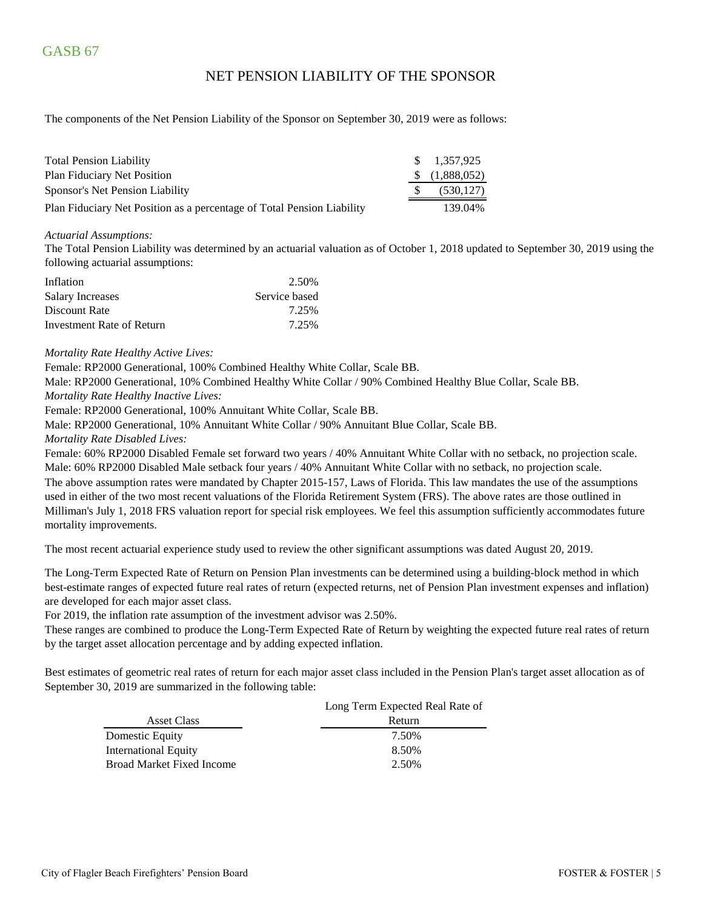### NET PENSION LIABILITY OF THE SPONSOR

The components of the Net Pension Liability of the Sponsor on September 30, 2019 were as follows:

| <b>Total Pension Liability</b>                                         | $\frac{\$}{1.357.925}$    |
|------------------------------------------------------------------------|---------------------------|
| <b>Plan Fiduciary Net Position</b>                                     | $\frac{1}{2}$ (1,888,052) |
| Sponsor's Net Pension Liability                                        | (530, 127)                |
| Plan Fiduciary Net Position as a percentage of Total Pension Liability | 139.04%                   |

#### *Actuarial Assumptions:*

The Total Pension Liability was determined by an actuarial valuation as of October 1, 2018 updated to September 30, 2019 using the following actuarial assumptions:

| Inflation                 | 2.50%         |
|---------------------------|---------------|
| <b>Salary Increases</b>   | Service based |
| Discount Rate             | 7.25%         |
| Investment Rate of Return | 7.25%         |

#### *Mortality Rate Healthy Active Lives:*

Female: RP2000 Generational, 100% Combined Healthy White Collar, Scale BB.

Male: RP2000 Generational, 10% Combined Healthy White Collar / 90% Combined Healthy Blue Collar, Scale BB.

*Mortality Rate Healthy Inactive Lives:*

Female: RP2000 Generational, 100% Annuitant White Collar, Scale BB.

Male: RP2000 Generational, 10% Annuitant White Collar / 90% Annuitant Blue Collar, Scale BB.

*Mortality Rate Disabled Lives:*

Female: 60% RP2000 Disabled Female set forward two years / 40% Annuitant White Collar with no setback, no projection scale. Male: 60% RP2000 Disabled Male setback four years / 40% Annuitant White Collar with no setback, no projection scale. The above assumption rates were mandated by Chapter 2015-157, Laws of Florida. This law mandates the use of the assumptions used in either of the two most recent valuations of the Florida Retirement System (FRS). The above rates are those outlined in Milliman's July 1, 2018 FRS valuation report for special risk employees. We feel this assumption sufficiently accommodates future mortality improvements.

The most recent actuarial experience study used to review the other significant assumptions was dated August 20, 2019.

The Long-Term Expected Rate of Return on Pension Plan investments can be determined using a building-block method in which best-estimate ranges of expected future real rates of return (expected returns, net of Pension Plan investment expenses and inflation) are developed for each major asset class.

For 2019, the inflation rate assumption of the investment advisor was 2.50%.

These ranges are combined to produce the Long-Term Expected Rate of Return by weighting the expected future real rates of return by the target asset allocation percentage and by adding expected inflation.

Best estimates of geometric real rates of return for each major asset class included in the Pension Plan's target asset allocation as of September 30, 2019 are summarized in the following table:

|                                  | Long Term Expected Real Rate of |
|----------------------------------|---------------------------------|
| Asset Class                      | Return                          |
| Domestic Equity                  | 7.50%                           |
| International Equity             | 8.50%                           |
| <b>Broad Market Fixed Income</b> | 2.50%                           |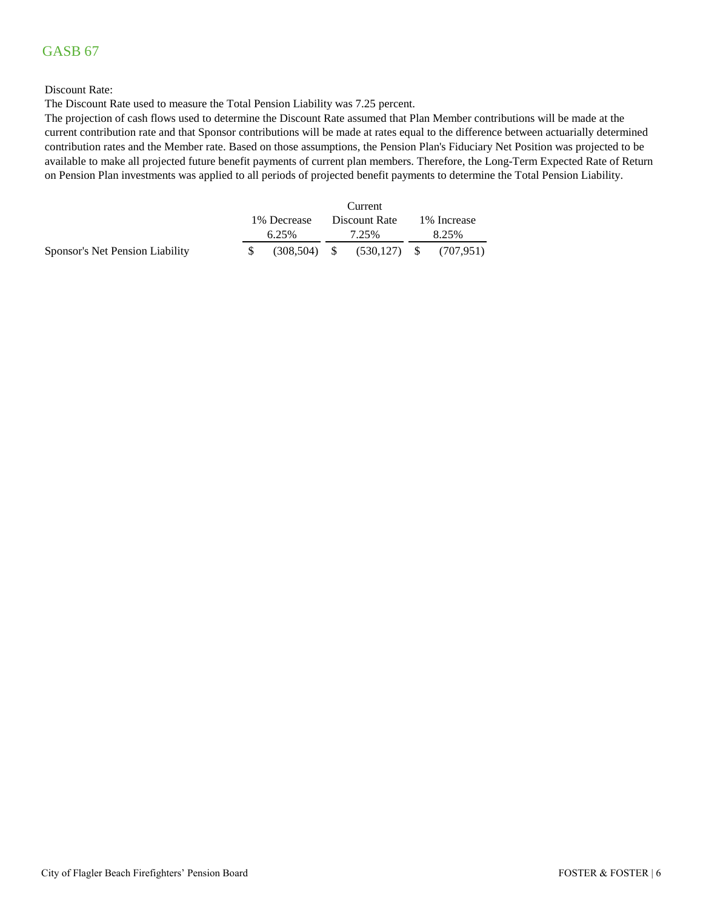#### Discount Rate:

The Discount Rate used to measure the Total Pension Liability was 7.25 percent.

The projection of cash flows used to determine the Discount Rate assumed that Plan Member contributions will be made at the current contribution rate and that Sponsor contributions will be made at rates equal to the difference between actuarially determined contribution rates and the Member rate. Based on those assumptions, the Pension Plan's Fiduciary Net Position was projected to be available to make all projected future benefit payments of current plan members. Therefore, the Long-Term Expected Rate of Return on Pension Plan investments was applied to all periods of projected benefit payments to determine the Total Pension Liability.

|                                 | Current      |  |       |                                           |              |  |  |
|---------------------------------|--------------|--|-------|-------------------------------------------|--------------|--|--|
|                                 | 1\% Decrease |  |       | Discount Rate                             | 1\% Increase |  |  |
|                                 | 6.25%        |  | 7.25% |                                           | 8.25%        |  |  |
| Sponsor's Net Pension Liability |              |  |       | $(308,504)$ \$ $(530,127)$ \$ $(707,951)$ |              |  |  |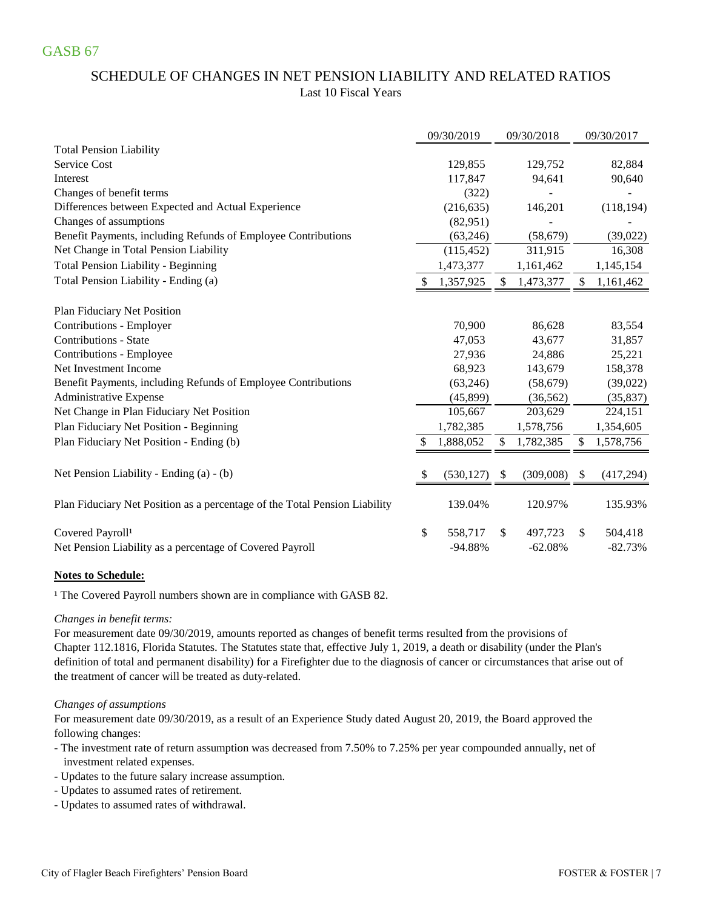# SCHEDULE OF CHANGES IN NET PENSION LIABILITY AND RELATED RATIOS Last 10 Fiscal Years

|                                                                            | 09/30/2019    |    | 09/30/2018 |    | 09/30/2017 |
|----------------------------------------------------------------------------|---------------|----|------------|----|------------|
| <b>Total Pension Liability</b>                                             |               |    |            |    |            |
| <b>Service Cost</b>                                                        | 129,855       |    | 129,752    |    | 82,884     |
| Interest                                                                   | 117,847       |    | 94,641     |    | 90,640     |
| Changes of benefit terms                                                   | (322)         |    |            |    |            |
| Differences between Expected and Actual Experience                         | (216, 635)    |    | 146,201    |    | (118, 194) |
| Changes of assumptions                                                     | (82,951)      |    |            |    |            |
| Benefit Payments, including Refunds of Employee Contributions              | (63, 246)     |    | (58, 679)  |    | (39, 022)  |
| Net Change in Total Pension Liability                                      | (115, 452)    |    | 311,915    |    | 16,308     |
| Total Pension Liability - Beginning                                        | 1,473,377     |    | 1,161,462  |    | 1,145,154  |
| Total Pension Liability - Ending (a)                                       | 1,357,925     | \$ | 1,473,377  | \$ | 1,161,462  |
| Plan Fiduciary Net Position                                                |               |    |            |    |            |
| Contributions - Employer                                                   | 70,900        |    | 86,628     |    | 83,554     |
| <b>Contributions - State</b>                                               | 47,053        |    | 43,677     |    | 31,857     |
| Contributions - Employee                                                   | 27,936        |    | 24,886     |    | 25,221     |
| Net Investment Income                                                      | 68,923        |    | 143,679    |    | 158,378    |
| Benefit Payments, including Refunds of Employee Contributions              | (63, 246)     |    | (58, 679)  |    | (39,022)   |
| <b>Administrative Expense</b>                                              | (45, 899)     |    | (36, 562)  |    | (35, 837)  |
| Net Change in Plan Fiduciary Net Position                                  | 105,667       |    | 203,629    |    | 224,151    |
| Plan Fiduciary Net Position - Beginning                                    | 1,782,385     |    | 1,578,756  |    | 1,354,605  |
| Plan Fiduciary Net Position - Ending (b)                                   | 1,888,052     | \$ | 1,782,385  | \$ | 1,578,756  |
| Net Pension Liability - Ending (a) - (b)                                   | (530, 127)    | S  | (309,008)  | -S | (417, 294) |
|                                                                            |               |    |            |    |            |
| Plan Fiduciary Net Position as a percentage of the Total Pension Liability | 139.04%       |    | 120.97%    |    | 135.93%    |
| Covered Payroll <sup>1</sup>                                               | \$<br>558,717 | \$ | 497,723    | \$ | 504,418    |
| Net Pension Liability as a percentage of Covered Payroll                   | -94.88%       |    | $-62.08%$  |    | $-82.73%$  |

### **Notes to Schedule:**

<sup>1</sup> The Covered Payroll numbers shown are in compliance with GASB 82.

#### *Changes in benefit terms:*

For measurement date 09/30/2019, amounts reported as changes of benefit terms resulted from the provisions of Chapter 112.1816, Florida Statutes. The Statutes state that, effective July 1, 2019, a death or disability (under the Plan's definition of total and permanent disability) for a Firefighter due to the diagnosis of cancer or circumstances that arise out of the treatment of cancer will be treated as duty-related.

#### *Changes of assumptions*

For measurement date 09/30/2019, as a result of an Experience Study dated August 20, 2019, the Board approved the following changes:

- The investment rate of return assumption was decreased from 7.50% to 7.25% per year compounded annually, net of investment related expenses.
- Updates to the future salary increase assumption.
- Updates to assumed rates of retirement.
- Updates to assumed rates of withdrawal.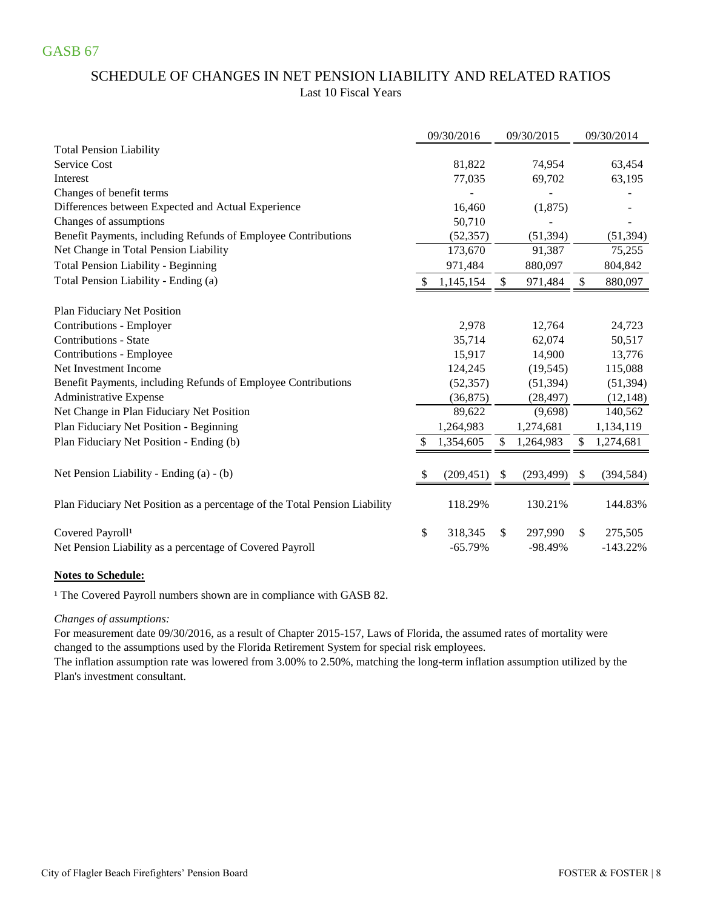# SCHEDULE OF CHANGES IN NET PENSION LIABILITY AND RELATED RATIOS Last 10 Fiscal Years

|                                                                            |    | 09/30/2016 | 09/30/2015       |               | 09/30/2014 |
|----------------------------------------------------------------------------|----|------------|------------------|---------------|------------|
| <b>Total Pension Liability</b>                                             |    |            |                  |               |            |
| <b>Service Cost</b>                                                        |    | 81,822     | 74,954           |               | 63,454     |
| Interest                                                                   |    | 77,035     | 69,702           |               | 63,195     |
| Changes of benefit terms                                                   |    |            |                  |               |            |
| Differences between Expected and Actual Experience                         |    | 16,460     | (1,875)          |               |            |
| Changes of assumptions                                                     |    | 50,710     |                  |               |            |
| Benefit Payments, including Refunds of Employee Contributions              |    | (52, 357)  | (51, 394)        |               | (51, 394)  |
| Net Change in Total Pension Liability                                      |    | 173,670    | 91,387           |               | 75,255     |
| <b>Total Pension Liability - Beginning</b>                                 |    | 971,484    | 880,097          |               | 804,842    |
| Total Pension Liability - Ending (a)                                       |    | 1,145,154  | \$<br>971,484    | \$            | 880,097    |
| Plan Fiduciary Net Position                                                |    |            |                  |               |            |
| Contributions - Employer                                                   |    | 2,978      | 12,764           |               | 24,723     |
| <b>Contributions - State</b>                                               |    | 35,714     | 62,074           |               | 50,517     |
| Contributions - Employee                                                   |    | 15,917     | 14,900           |               | 13,776     |
| Net Investment Income                                                      |    | 124,245    | (19, 545)        |               | 115,088    |
| Benefit Payments, including Refunds of Employee Contributions              |    | (52, 357)  | (51, 394)        |               | (51, 394)  |
| Administrative Expense                                                     |    | (36,875)   | (28, 497)        |               | (12, 148)  |
| Net Change in Plan Fiduciary Net Position                                  |    | 89,622     | (9,698)          |               | 140,562    |
| Plan Fiduciary Net Position - Beginning                                    |    | 1,264,983  | 1,274,681        |               | 1,134,119  |
| Plan Fiduciary Net Position - Ending (b)                                   |    | 1,354,605  | \$<br>1,264,983  | S             | 1,274,681  |
|                                                                            |    |            |                  |               |            |
| Net Pension Liability - Ending (a) - (b)                                   | S  | (209, 451) | \$<br>(293, 499) | <sup>\$</sup> | (394, 584) |
|                                                                            |    |            |                  |               |            |
| Plan Fiduciary Net Position as a percentage of the Total Pension Liability |    | 118.29%    | 130.21%          |               | 144.83%    |
| Covered Payroll <sup>1</sup>                                               | \$ | 318,345    | \$<br>297,990    | \$            | 275,505    |
| Net Pension Liability as a percentage of Covered Payroll                   |    | $-65.79%$  | $-98.49%$        |               | $-143.22%$ |

#### **Notes to Schedule:**

<sup>1</sup> The Covered Payroll numbers shown are in compliance with GASB 82.

#### *Changes of assumptions:*

changed to the assumptions used by the Florida Retirement System for special risk employees. For measurement date 09/30/2016, as a result of Chapter 2015-157, Laws of Florida, the assumed rates of mortality were

Plan's investment consultant. The inflation assumption rate was lowered from 3.00% to 2.50%, matching the long-term inflation assumption utilized by the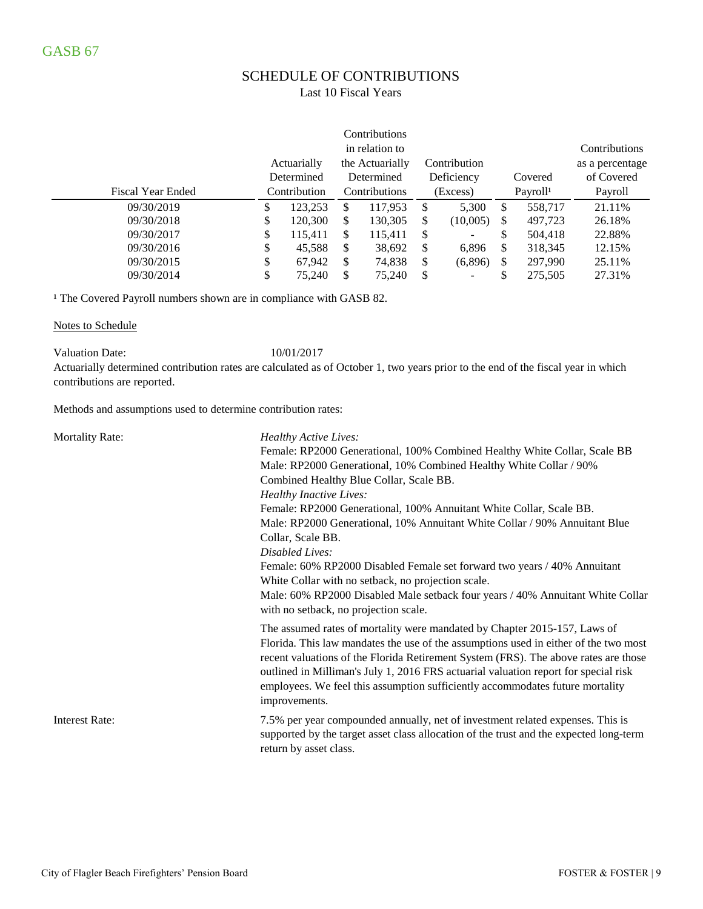# SCHEDULE OF CONTRIBUTIONS

### Last 10 Fiscal Years

|                          |              |             |               | Contributions   |               |                          |               |                 |  |          |                      |         |
|--------------------------|--------------|-------------|---------------|-----------------|---------------|--------------------------|---------------|-----------------|--|----------|----------------------|---------|
|                          |              |             |               | in relation to  |               |                          |               | Contributions   |  |          |                      |         |
|                          |              | Actuarially |               | the Actuarially |               | Contribution             |               | as a percentage |  |          |                      |         |
|                          |              | Determined  |               | Determined      |               | Deficiency               | Covered       | of Covered      |  |          |                      |         |
| <b>Fiscal Year Ended</b> | Contribution |             | Contributions |                 |               |                          |               |                 |  | (Excess) | Payroll <sup>1</sup> | Payroll |
| 09/30/2019               | \$           | 123.253     | S             | 117.953         | <sup>\$</sup> | 5,300                    | \$<br>558.717 | 21.11%          |  |          |                      |         |
| 09/30/2018               | \$           | 120,300     | \$            | 130,305         | \$            | (10,005)                 | \$<br>497,723 | 26.18%          |  |          |                      |         |
| 09/30/2017               | \$           | 115,411     | \$            | 115,411         | \$            | $\overline{\phantom{0}}$ | \$<br>504,418 | 22.88%          |  |          |                      |         |
| 09/30/2016               | \$           | 45,588      | S             | 38,692          | \$            | 6,896                    | \$<br>318,345 | 12.15%          |  |          |                      |         |
| 09/30/2015               | \$           | 67,942      | \$            | 74,838          | \$            | (6,896)                  | \$<br>297,990 | 25.11%          |  |          |                      |         |
| 09/30/2014               | \$           | 75,240      | \$            | 75,240          | \$            |                          | \$<br>275.505 | 27.31%          |  |          |                      |         |

<sup>1</sup> The Covered Payroll numbers shown are in compliance with GASB 82.

Notes to Schedule

Valuation Date: 10/01/2017

Actuarially determined contribution rates are calculated as of October 1, two years prior to the end of the fiscal year in which contributions are reported.

Methods and assumptions used to determine contribution rates:

| <b>Mortality Rate:</b> | Healthy Active Lives:<br>Female: RP2000 Generational, 100% Combined Healthy White Collar, Scale BB<br>Male: RP2000 Generational, 10% Combined Healthy White Collar / 90%<br>Combined Healthy Blue Collar, Scale BB.<br><b>Healthy Inactive Lives:</b><br>Female: RP2000 Generational, 100% Annuitant White Collar, Scale BB.<br>Male: RP2000 Generational, 10% Annuitant White Collar / 90% Annuitant Blue<br>Collar, Scale BB.<br>Disabled Lives:<br>Female: 60% RP2000 Disabled Female set forward two years / 40% Annuitant<br>White Collar with no setback, no projection scale.<br>Male: 60% RP2000 Disabled Male setback four years / 40% Annuitant White Collar<br>with no setback, no projection scale. |
|------------------------|-----------------------------------------------------------------------------------------------------------------------------------------------------------------------------------------------------------------------------------------------------------------------------------------------------------------------------------------------------------------------------------------------------------------------------------------------------------------------------------------------------------------------------------------------------------------------------------------------------------------------------------------------------------------------------------------------------------------|
|                        | The assumed rates of mortality were mandated by Chapter 2015-157, Laws of<br>Florida. This law mandates the use of the assumptions used in either of the two most<br>recent valuations of the Florida Retirement System (FRS). The above rates are those<br>outlined in Milliman's July 1, 2016 FRS actuarial valuation report for special risk<br>employees. We feel this assumption sufficiently accommodates future mortality<br>improvements.                                                                                                                                                                                                                                                               |
| <b>Interest Rate:</b>  | 7.5% per year compounded annually, net of investment related expenses. This is<br>supported by the target asset class allocation of the trust and the expected long-term<br>return by asset class.                                                                                                                                                                                                                                                                                                                                                                                                                                                                                                              |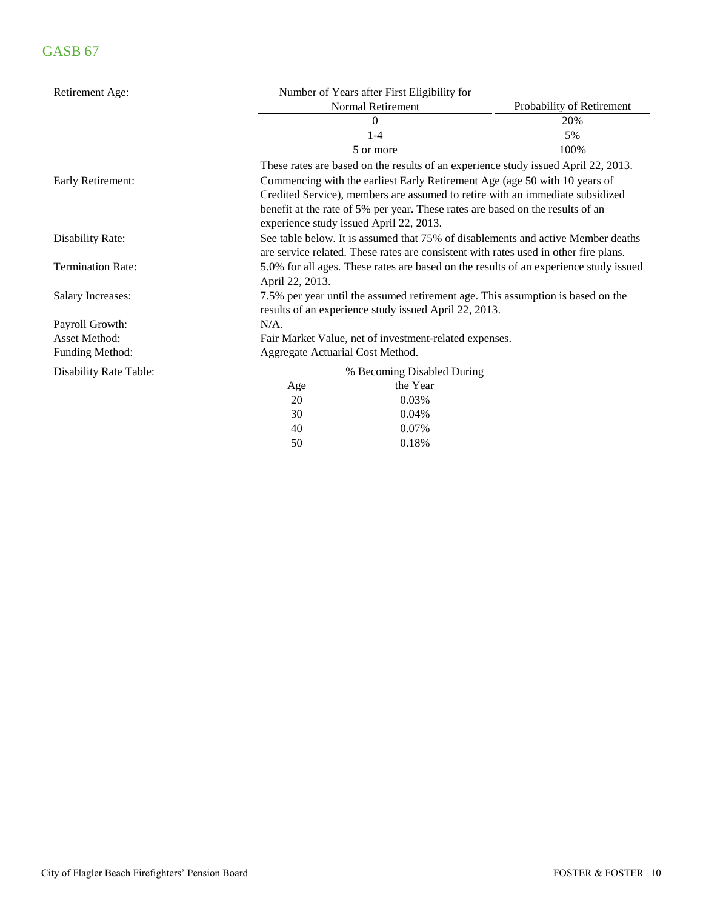| Retirement Age:               |                                  | Number of Years after First Eligibility for                                                                                                                              |                                                                                    |  |  |  |  |
|-------------------------------|----------------------------------|--------------------------------------------------------------------------------------------------------------------------------------------------------------------------|------------------------------------------------------------------------------------|--|--|--|--|
|                               |                                  | Normal Retirement                                                                                                                                                        | Probability of Retirement                                                          |  |  |  |  |
|                               |                                  | 0                                                                                                                                                                        | 20%                                                                                |  |  |  |  |
|                               |                                  | $1-4$                                                                                                                                                                    | 5%                                                                                 |  |  |  |  |
|                               |                                  | 5 or more                                                                                                                                                                | 100%                                                                               |  |  |  |  |
|                               |                                  |                                                                                                                                                                          | These rates are based on the results of an experience study issued April 22, 2013. |  |  |  |  |
| Early Retirement:             |                                  |                                                                                                                                                                          | Commencing with the earliest Early Retirement Age (age 50 with 10 years of         |  |  |  |  |
|                               |                                  |                                                                                                                                                                          | Credited Service), members are assumed to retire with an immediate subsidized      |  |  |  |  |
|                               |                                  | experience study issued April 22, 2013.                                                                                                                                  | benefit at the rate of 5% per year. These rates are based on the results of an     |  |  |  |  |
| Disability Rate:              |                                  | See table below. It is assumed that 75% of disablements and active Member deaths<br>are service related. These rates are consistent with rates used in other fire plans. |                                                                                    |  |  |  |  |
| <b>Termination Rate:</b>      | April 22, 2013.                  | 5.0% for all ages. These rates are based on the results of an experience study issued                                                                                    |                                                                                    |  |  |  |  |
| <b>Salary Increases:</b>      |                                  | 7.5% per year until the assumed retirement age. This assumption is based on the<br>results of an experience study issued April 22, 2013.                                 |                                                                                    |  |  |  |  |
| Payroll Growth:               | $N/A$ .                          |                                                                                                                                                                          |                                                                                    |  |  |  |  |
| Asset Method:                 |                                  | Fair Market Value, net of investment-related expenses.                                                                                                                   |                                                                                    |  |  |  |  |
| Funding Method:               | Aggregate Actuarial Cost Method. |                                                                                                                                                                          |                                                                                    |  |  |  |  |
| <b>Disability Rate Table:</b> |                                  | % Becoming Disabled During                                                                                                                                               |                                                                                    |  |  |  |  |
|                               | Age                              | the Year                                                                                                                                                                 |                                                                                    |  |  |  |  |
|                               | 20                               | 0.03%                                                                                                                                                                    |                                                                                    |  |  |  |  |
|                               | 30                               | 0.04%                                                                                                                                                                    |                                                                                    |  |  |  |  |
|                               | 40                               | 0.07%                                                                                                                                                                    |                                                                                    |  |  |  |  |

50 0.18%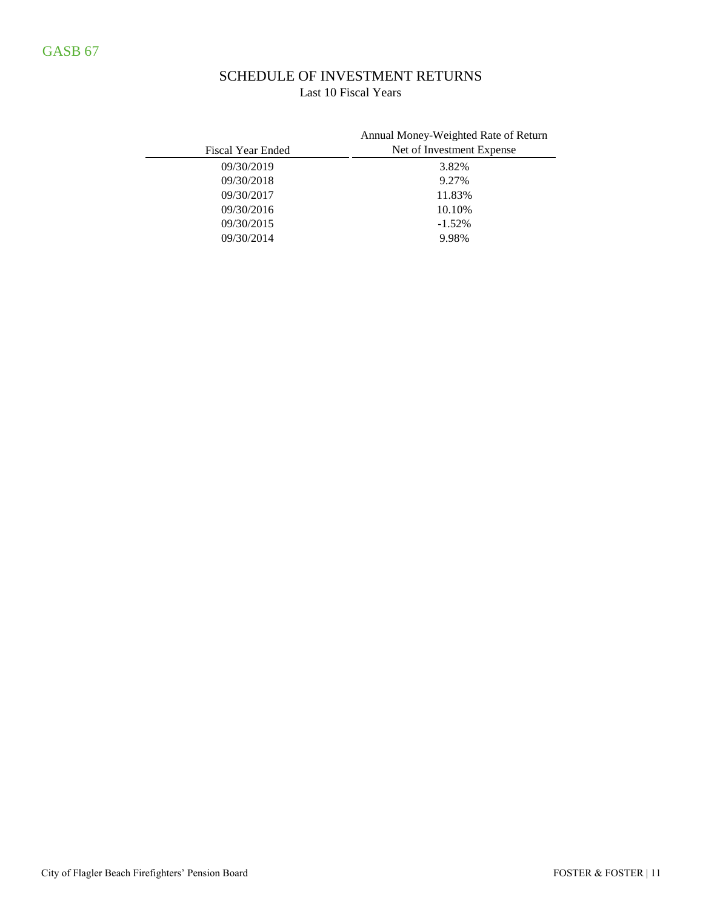### SCHEDULE OF INVESTMENT RETURNS Last 10 Fiscal Years

| <b>Fiscal Year Ended</b> | Annual Money-Weighted Rate of Return<br>Net of Investment Expense |
|--------------------------|-------------------------------------------------------------------|
| 09/30/2019               | 3.82%                                                             |
| 09/30/2018               | 9.27%                                                             |
| 09/30/2017               | 11.83%                                                            |
| 09/30/2016               | 10.10%                                                            |
| 09/30/2015               | $-1.52%$                                                          |
| 09/30/2014               | 9.98%                                                             |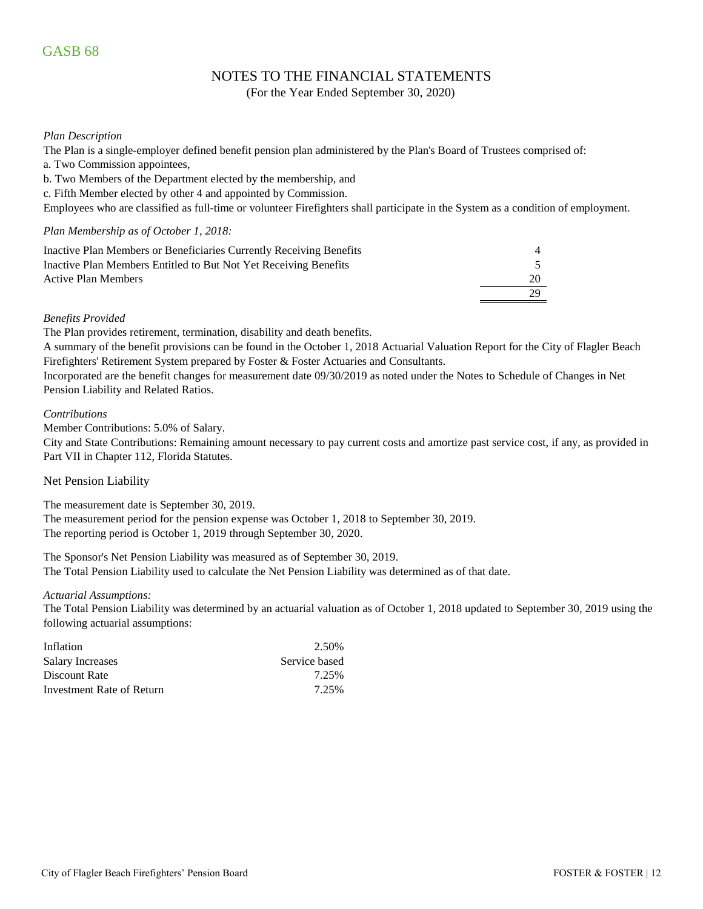### NOTES TO THE FINANCIAL STATEMENTS

(For the Year Ended September 30, 2020)

### *Plan Description*

The Plan is a single-employer defined benefit pension plan administered by the Plan's Board of Trustees comprised of:

- a. Two Commission appointees,
- b. Two Members of the Department elected by the membership, and
- c. Fifth Member elected by other 4 and appointed by Commission.

Employees who are classified as full-time or volunteer Firefighters shall participate in the System as a condition of employment.

#### *Plan Membership as of October 1, 2018:*

| Inactive Plan Members or Beneficiaries Currently Receiving Benefits |    |
|---------------------------------------------------------------------|----|
| Inactive Plan Members Entitled to But Not Yet Receiving Benefits    |    |
| Active Plan Members                                                 | 20 |
|                                                                     | 29 |

### *Benefits Provided*

The Plan provides retirement, termination, disability and death benefits.

A summary of the benefit provisions can be found in the October 1, 2018 Actuarial Valuation Report for the City of Flagler Beach Firefighters' Retirement System prepared by Foster & Foster Actuaries and Consultants.

Incorporated are the benefit changes for measurement date 09/30/2019 as noted under the Notes to Schedule of Changes in Net Pension Liability and Related Ratios.

#### *Contributions*

Member Contributions: 5.0% of Salary.

City and State Contributions: Remaining amount necessary to pay current costs and amortize past service cost, if any, as provided in Part VII in Chapter 112, Florida Statutes.

#### Net Pension Liability

The measurement date is September 30, 2019. The measurement period for the pension expense was October 1, 2018 to September 30, 2019. The reporting period is October 1, 2019 through September 30, 2020.

The Sponsor's Net Pension Liability was measured as of September 30, 2019. The Total Pension Liability used to calculate the Net Pension Liability was determined as of that date.

#### *Actuarial Assumptions:*

The Total Pension Liability was determined by an actuarial valuation as of October 1, 2018 updated to September 30, 2019 using the following actuarial assumptions:

| Inflation                 | 2.50%         |
|---------------------------|---------------|
| Salary Increases          | Service based |
| Discount Rate             | 7.25%         |
| Investment Rate of Return | 7.25%         |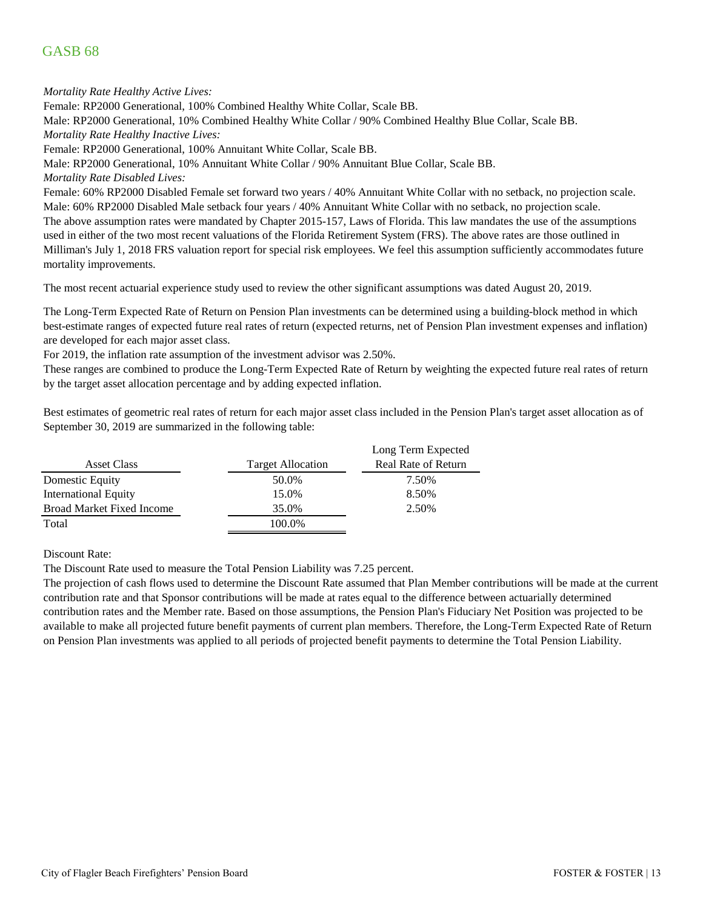*Mortality Rate Healthy Active Lives:*

Female: RP2000 Generational, 100% Combined Healthy White Collar, Scale BB.

Male: RP2000 Generational, 10% Combined Healthy White Collar / 90% Combined Healthy Blue Collar, Scale BB. *Mortality Rate Healthy Inactive Lives:*

Female: RP2000 Generational, 100% Annuitant White Collar, Scale BB.

Male: RP2000 Generational, 10% Annuitant White Collar / 90% Annuitant Blue Collar, Scale BB.

*Mortality Rate Disabled Lives:*

The above assumption rates were mandated by Chapter 2015-157, Laws of Florida. This law mandates the use of the assumptions used in either of the two most recent valuations of the Florida Retirement System (FRS). The above rates are those outlined in Milliman's July 1, 2018 FRS valuation report for special risk employees. We feel this assumption sufficiently accommodates future mortality improvements. Female: 60% RP2000 Disabled Female set forward two years / 40% Annuitant White Collar with no setback, no projection scale. Male: 60% RP2000 Disabled Male setback four years / 40% Annuitant White Collar with no setback, no projection scale.

The most recent actuarial experience study used to review the other significant assumptions was dated August 20, 2019.

The Long-Term Expected Rate of Return on Pension Plan investments can be determined using a building-block method in which best-estimate ranges of expected future real rates of return (expected returns, net of Pension Plan investment expenses and inflation) are developed for each major asset class.

For 2019, the inflation rate assumption of the investment advisor was 2.50%.

These ranges are combined to produce the Long-Term Expected Rate of Return by weighting the expected future real rates of return by the target asset allocation percentage and by adding expected inflation.

Best estimates of geometric real rates of return for each major asset class included in the Pension Plan's target asset allocation as of September 30, 2019 are summarized in the following table:

|                                  |                          | Long Term Expected         |
|----------------------------------|--------------------------|----------------------------|
| Asset Class                      | <b>Target Allocation</b> | <b>Real Rate of Return</b> |
| Domestic Equity                  | 50.0%                    | 7.50%                      |
| International Equity             | 15.0%                    | 8.50%                      |
| <b>Broad Market Fixed Income</b> | 35.0%                    | 2.50%                      |
| Total                            | 100.0%                   |                            |

Discount Rate:

The Discount Rate used to measure the Total Pension Liability was 7.25 percent.

The projection of cash flows used to determine the Discount Rate assumed that Plan Member contributions will be made at the current contribution rate and that Sponsor contributions will be made at rates equal to the difference between actuarially determined contribution rates and the Member rate. Based on those assumptions, the Pension Plan's Fiduciary Net Position was projected to be available to make all projected future benefit payments of current plan members. Therefore, the Long-Term Expected Rate of Return on Pension Plan investments was applied to all periods of projected benefit payments to determine the Total Pension Liability.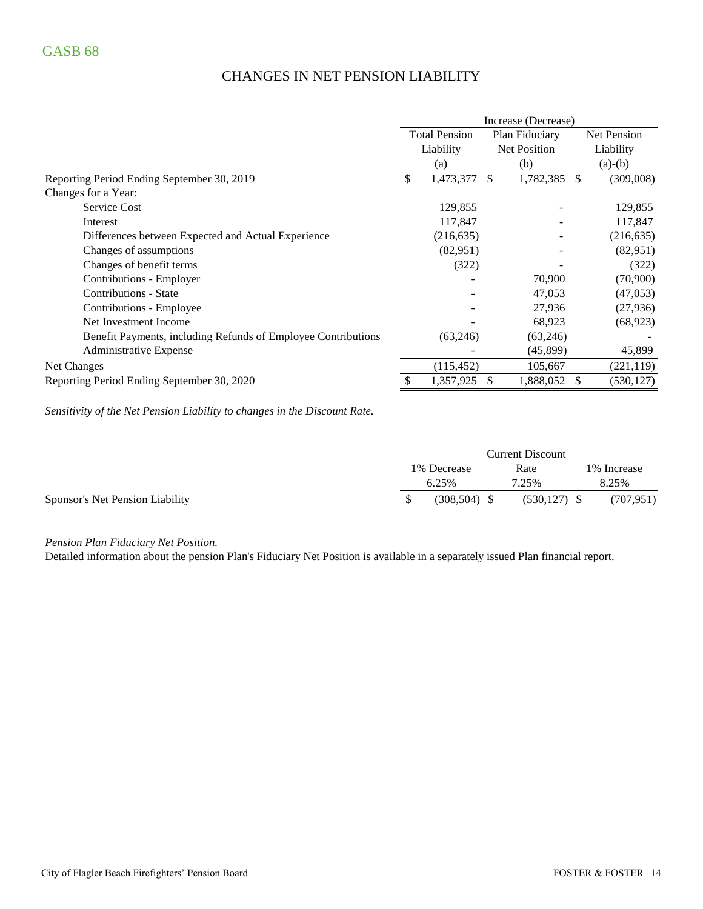# CHANGES IN NET PENSION LIABILITY

|                                                               | Increase (Decrease)  |            |                     |           |     |             |
|---------------------------------------------------------------|----------------------|------------|---------------------|-----------|-----|-------------|
|                                                               | <b>Total Pension</b> |            | Plan Fiduciary      |           |     | Net Pension |
|                                                               |                      | Liability  | <b>Net Position</b> |           |     | Liability   |
|                                                               |                      | (a)        |                     | (b)       |     | $(a)-(b)$   |
| Reporting Period Ending September 30, 2019                    | \$                   | 1,473,377  | \$.                 | 1,782,385 | \$. | (309,008)   |
| Changes for a Year:                                           |                      |            |                     |           |     |             |
| <b>Service Cost</b>                                           |                      | 129,855    |                     |           |     | 129,855     |
| Interest                                                      |                      | 117,847    |                     |           |     | 117,847     |
| Differences between Expected and Actual Experience            |                      | (216, 635) |                     |           |     | (216, 635)  |
| Changes of assumptions                                        |                      | (82,951)   |                     |           |     | (82,951)    |
| Changes of benefit terms                                      |                      | (322)      |                     |           |     | (322)       |
| Contributions - Employer                                      |                      |            |                     | 70,900    |     | (70,900)    |
| Contributions - State                                         |                      |            |                     | 47,053    |     | (47, 053)   |
| Contributions - Employee                                      |                      |            |                     | 27,936    |     | (27, 936)   |
| Net Investment Income                                         |                      |            |                     | 68,923    |     | (68, 923)   |
| Benefit Payments, including Refunds of Employee Contributions |                      | (63,246)   |                     | (63,246)  |     |             |
| Administrative Expense                                        |                      |            |                     | (45,899)  |     | 45,899      |
| Net Changes                                                   |                      | (115, 452) |                     | 105,667   |     | (221, 119)  |
| Reporting Period Ending September 30, 2020                    |                      | 1,357,925  |                     | 1,888,052 |     | (530, 127)  |

*Sensitivity of the Net Pension Liability to changes in the Discount Rate.*

|                                 | <b>Current Discount</b> |                |      |                |  |              |
|---------------------------------|-------------------------|----------------|------|----------------|--|--------------|
|                                 | 1% Decrease             |                | Rate |                |  | 1\% Increase |
|                                 |                         | 6.25%          |      | 7.25%          |  | 8.25%        |
| Sponsor's Net Pension Liability |                         | $(308.504)$ \$ |      | $(530.127)$ \$ |  | (707, 951)   |

*Pension Plan Fiduciary Net Position.* 

Detailed information about the pension Plan's Fiduciary Net Position is available in a separately issued Plan financial report.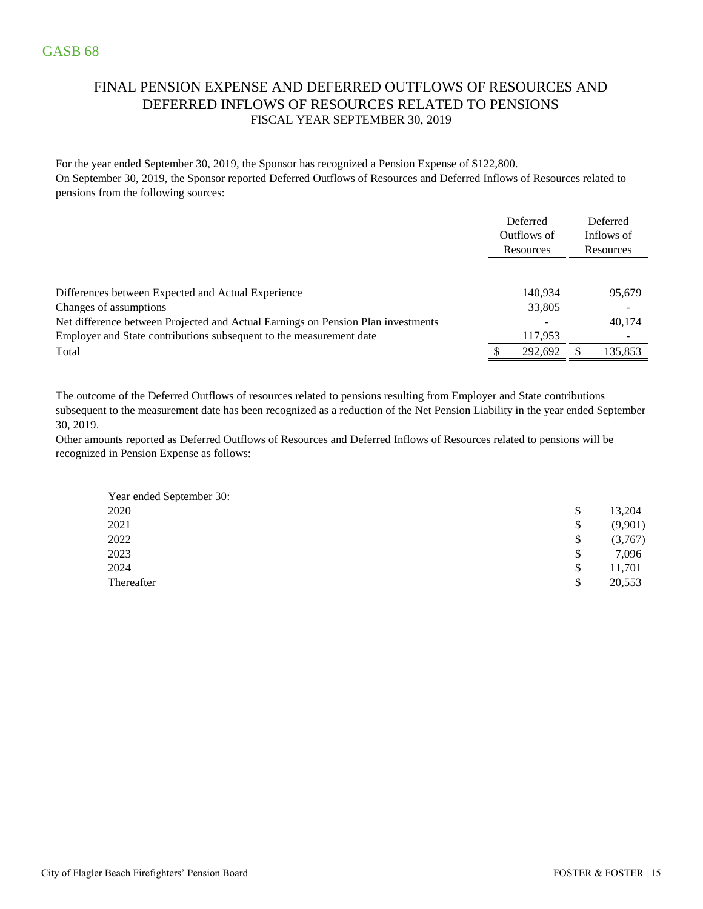### FINAL PENSION EXPENSE AND DEFERRED OUTFLOWS OF RESOURCES AND DEFERRED INFLOWS OF RESOURCES RELATED TO PENSIONS FISCAL YEAR SEPTEMBER 30, 2019

For the year ended September 30, 2019, the Sponsor has recognized a Pension Expense of \$122,800. On September 30, 2019, the Sponsor reported Deferred Outflows of Resources and Deferred Inflows of Resources related to pensions from the following sources:

|                                                                                  | Deferred<br>Outflows of<br>Resources | Deferred<br>Inflows of<br>Resources |
|----------------------------------------------------------------------------------|--------------------------------------|-------------------------------------|
|                                                                                  |                                      |                                     |
| Differences between Expected and Actual Experience                               | 140.934                              | 95,679                              |
| Changes of assumptions                                                           | 33,805                               |                                     |
| Net difference between Projected and Actual Earnings on Pension Plan investments |                                      | 40,174                              |
| Employer and State contributions subsequent to the measurement date              | 117,953                              |                                     |
| Total                                                                            | 292.692                              | 135.853                             |

The outcome of the Deferred Outflows of resources related to pensions resulting from Employer and State contributions subsequent to the measurement date has been recognized as a reduction of the Net Pension Liability in the year ended September 30, 2019.

Other amounts reported as Deferred Outflows of Resources and Deferred Inflows of Resources related to pensions will be recognized in Pension Expense as follows:

| Year ended September 30: |    |         |
|--------------------------|----|---------|
| 2020                     | S  | 13,204  |
| 2021                     | \$ | (9,901) |
| 2022                     | \$ | (3,767) |
| 2023                     | \$ | 7,096   |
| 2024                     | \$ | 11,701  |
| Thereafter               | \$ | 20,553  |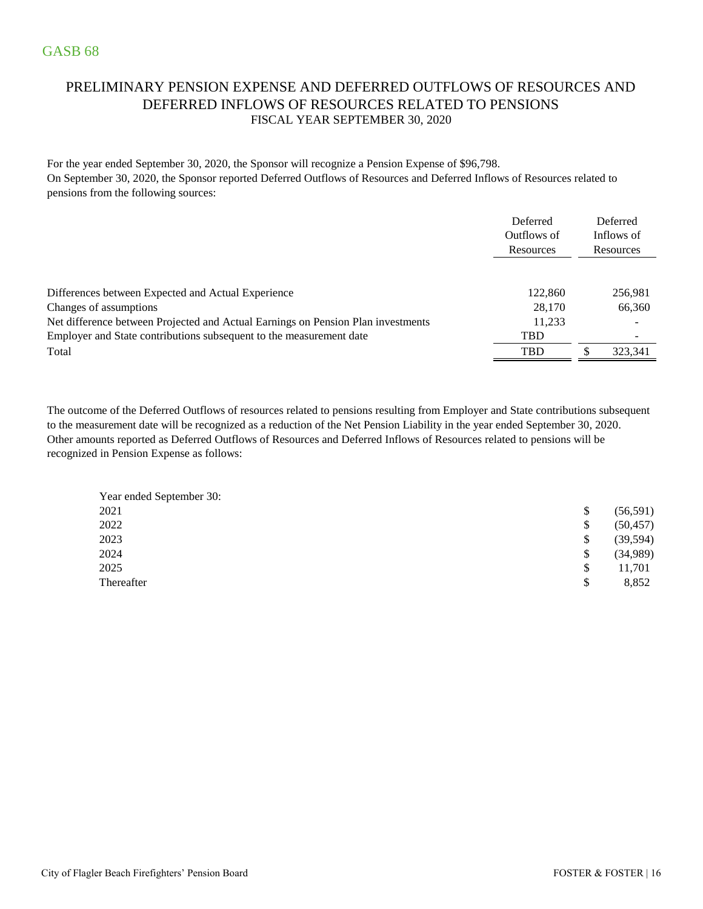### PRELIMINARY PENSION EXPENSE AND DEFERRED OUTFLOWS OF RESOURCES AND DEFERRED INFLOWS OF RESOURCES RELATED TO PENSIONS FISCAL YEAR SEPTEMBER 30, 2020

For the year ended September 30, 2020, the Sponsor will recognize a Pension Expense of \$96,798. On September 30, 2020, the Sponsor reported Deferred Outflows of Resources and Deferred Inflows of Resources related to pensions from the following sources:

|                                                                                  | Deferred    | Deferred                 |
|----------------------------------------------------------------------------------|-------------|--------------------------|
|                                                                                  | Outflows of | Inflows of               |
|                                                                                  | Resources   | Resources                |
|                                                                                  |             |                          |
| Differences between Expected and Actual Experience                               | 122,860     | 256,981                  |
| Changes of assumptions                                                           | 28,170      | 66,360                   |
| Net difference between Projected and Actual Earnings on Pension Plan investments | 11,233      |                          |
| Employer and State contributions subsequent to the measurement date              | <b>TBD</b>  | $\overline{\phantom{0}}$ |
| Total                                                                            | <b>TBD</b>  | 323.341                  |

Other amounts reported as Deferred Outflows of Resources and Deferred Inflows of Resources related to pensions will be recognized in Pension Expense as follows: The outcome of the Deferred Outflows of resources related to pensions resulting from Employer and State contributions subsequent to the measurement date will be recognized as a reduction of the Net Pension Liability in the year ended September 30, 2020.

| Year ended September 30: |           |
|--------------------------|-----------|
| 2021<br>\$               | (56, 591) |
| 2022<br>\$               | (50, 457) |
| 2023<br>\$               | (39, 594) |
| 2024<br>\$               | (34,989)  |
| 2025<br>S                | 11,701    |
| Thereafter<br>\$         | 8,852     |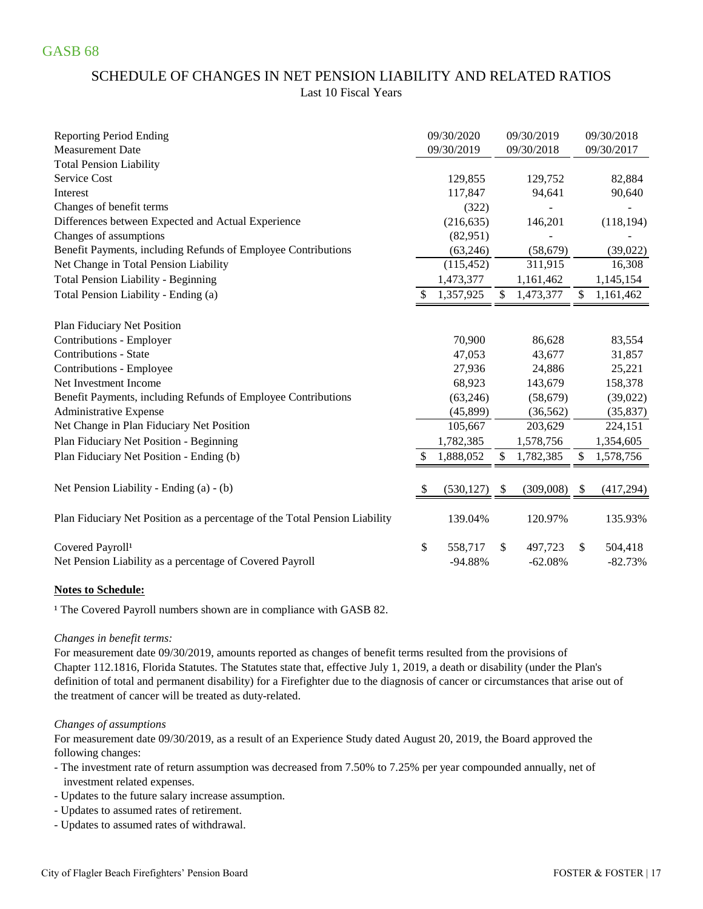### SCHEDULE OF CHANGES IN NET PENSION LIABILITY AND RELATED RATIOS Last 10 Fiscal Years

| <b>Reporting Period Ending</b>                                             |              | 09/30/2020 |               | 09/30/2019     |     | 09/30/2018 |
|----------------------------------------------------------------------------|--------------|------------|---------------|----------------|-----|------------|
| <b>Measurement Date</b>                                                    |              | 09/30/2019 |               | 09/30/2018     |     | 09/30/2017 |
| <b>Total Pension Liability</b>                                             |              |            |               |                |     |            |
| Service Cost                                                               |              | 129,855    |               | 129,752        |     | 82,884     |
| Interest                                                                   |              | 117,847    |               | 94,641         |     | 90,640     |
| Changes of benefit terms                                                   |              | (322)      |               |                |     |            |
| Differences between Expected and Actual Experience                         |              | (216, 635) |               | 146,201        |     | (118, 194) |
| Changes of assumptions                                                     |              | (82,951)   |               |                |     |            |
| Benefit Payments, including Refunds of Employee Contributions              |              | (63,246)   |               | (58, 679)      |     | (39,022)   |
| Net Change in Total Pension Liability                                      |              | (115, 452) |               | 311,915        |     | 16,308     |
| <b>Total Pension Liability - Beginning</b>                                 |              | 1,473,377  |               | 1,161,462      |     | 1,145,154  |
| Total Pension Liability - Ending (a)                                       |              | 1,357,925  | \$            | 1,473,377      | \$  | 1,161,462  |
| Plan Fiduciary Net Position                                                |              |            |               |                |     |            |
| Contributions - Employer                                                   |              | 70,900     |               | 86,628         |     | 83,554     |
| <b>Contributions - State</b>                                               |              | 47,053     |               | 43,677         |     | 31,857     |
| Contributions - Employee                                                   |              | 27,936     |               | 24,886         |     | 25,221     |
| Net Investment Income                                                      |              | 68,923     |               | 143,679        |     | 158,378    |
| Benefit Payments, including Refunds of Employee Contributions              |              | (63, 246)  |               | (58,679)       |     | (39,022)   |
| Administrative Expense                                                     |              | (45,899)   |               | (36, 562)      |     | (35, 837)  |
| Net Change in Plan Fiduciary Net Position                                  |              | 105,667    |               | 203,629        |     | 224,151    |
| Plan Fiduciary Net Position - Beginning                                    |              | 1,782,385  |               | 1,578,756      |     | 1,354,605  |
| Plan Fiduciary Net Position - Ending (b)                                   |              | 1,888,052  | \$            | 1,782,385      | \$. | 1,578,756  |
| Net Pension Liability - Ending (a) - (b)                                   | <sup>S</sup> | (530, 127) | <sup>\$</sup> | $(309,008)$ \$ |     | (417, 294) |
|                                                                            |              |            |               |                |     |            |
| Plan Fiduciary Net Position as a percentage of the Total Pension Liability |              | 139.04%    |               | 120.97%        |     | 135.93%    |
| Covered Payroll <sup>1</sup>                                               | \$           | 558,717    | \$            | 497,723        | \$  | 504,418    |
| Net Pension Liability as a percentage of Covered Payroll                   |              | $-94.88%$  |               | $-62.08%$      |     | $-82.73%$  |

### **Notes to Schedule:**

<sup>1</sup> The Covered Payroll numbers shown are in compliance with GASB 82.

### *Changes in benefit terms:*

For measurement date 09/30/2019, amounts reported as changes of benefit terms resulted from the provisions of Chapter 112.1816, Florida Statutes. The Statutes state that, effective July 1, 2019, a death or disability (under the Plan's definition of total and permanent disability) for a Firefighter due to the diagnosis of cancer or circumstances that arise out of the treatment of cancer will be treated as duty-related.

### *Changes of assumptions*

For measurement date 09/30/2019, as a result of an Experience Study dated August 20, 2019, the Board approved the following changes:

- The investment rate of return assumption was decreased from 7.50% to 7.25% per year compounded annually, net of investment related expenses.
- Updates to the future salary increase assumption.
- Updates to assumed rates of retirement.
- Updates to assumed rates of withdrawal.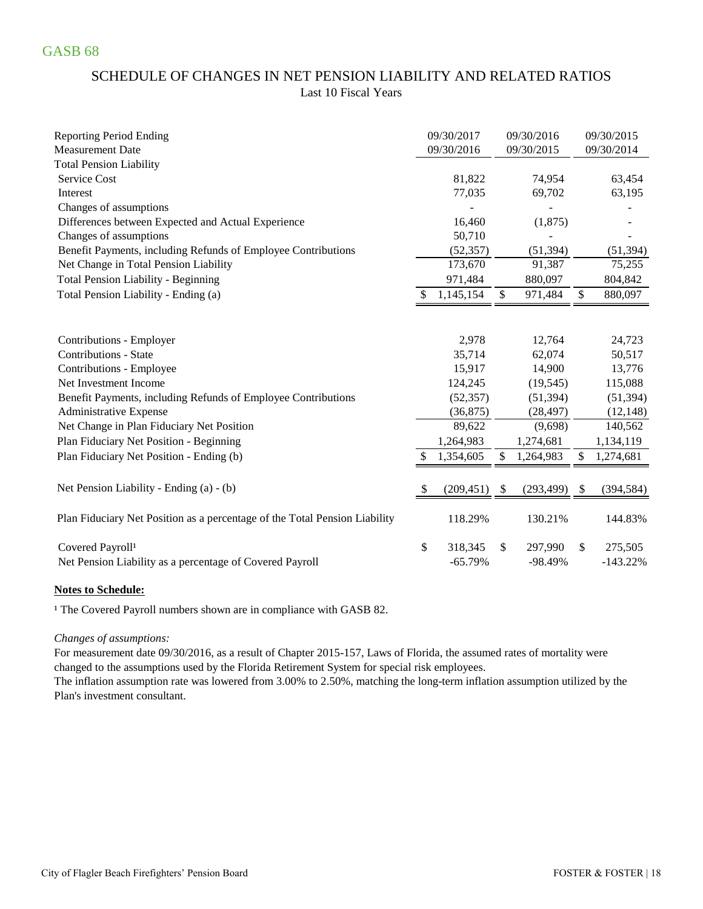# SCHEDULE OF CHANGES IN NET PENSION LIABILITY AND RELATED RATIOS Last 10 Fiscal Years

| <b>Reporting Period Ending</b>                                             | 09/30/2017       | 09/30/2016       | 09/30/2015       |
|----------------------------------------------------------------------------|------------------|------------------|------------------|
| <b>Measurement Date</b>                                                    | 09/30/2016       | 09/30/2015       | 09/30/2014       |
| <b>Total Pension Liability</b>                                             |                  |                  |                  |
| <b>Service Cost</b>                                                        | 81,822           | 74,954           | 63,454           |
| Interest                                                                   | 77,035           | 69,702           | 63,195           |
| Changes of assumptions                                                     |                  |                  |                  |
| Differences between Expected and Actual Experience                         | 16,460           | (1,875)          |                  |
| Changes of assumptions                                                     | 50,710           |                  |                  |
| Benefit Payments, including Refunds of Employee Contributions              | (52, 357)        | (51, 394)        | (51, 394)        |
| Net Change in Total Pension Liability                                      | 173,670          | 91,387           | 75,255           |
| <b>Total Pension Liability - Beginning</b>                                 | 971,484          | 880,097          | 804,842          |
| Total Pension Liability - Ending (a)                                       | 1,145,154        | \$<br>971,484    | \$<br>880,097    |
|                                                                            |                  |                  |                  |
| Contributions - Employer                                                   | 2,978            | 12,764           | 24,723           |
| <b>Contributions - State</b>                                               | 35,714           | 62,074           | 50,517           |
| Contributions - Employee                                                   | 15,917           | 14,900           | 13,776           |
| Net Investment Income                                                      | 124,245          | (19, 545)        | 115,088          |
| Benefit Payments, including Refunds of Employee Contributions              | (52, 357)        | (51, 394)        | (51, 394)        |
| Administrative Expense                                                     | (36, 875)        | (28, 497)        | (12, 148)        |
| Net Change in Plan Fiduciary Net Position                                  | 89,622           | (9,698)          | 140,562          |
| Plan Fiduciary Net Position - Beginning                                    | 1,264,983        | 1,274,681        | 1,134,119        |
| Plan Fiduciary Net Position - Ending (b)                                   | 1,354,605        | \$<br>1,264,983  | \$<br>1,274,681  |
| Net Pension Liability - Ending (a) - (b)                                   | \$<br>(209, 451) | \$<br>(293, 499) | \$<br>(394, 584) |
|                                                                            |                  |                  |                  |
| Plan Fiduciary Net Position as a percentage of the Total Pension Liability | 118.29%          | 130.21%          | 144.83%          |
| Covered Payroll <sup>1</sup>                                               | \$<br>318,345    | \$<br>297,990    | \$<br>275,505    |
| Net Pension Liability as a percentage of Covered Payroll                   | $-65.79%$        | $-98.49%$        | $-143.22%$       |

### **Notes to Schedule:**

<sup>1</sup> The Covered Payroll numbers shown are in compliance with GASB 82.

### *Changes of assumptions:*

For measurement date 09/30/2016, as a result of Chapter 2015-157, Laws of Florida, the assumed rates of mortality were changed to the assumptions used by the Florida Retirement System for special risk employees.

The inflation assumption rate was lowered from 3.00% to 2.50%, matching the long-term inflation assumption utilized by the Plan's investment consultant.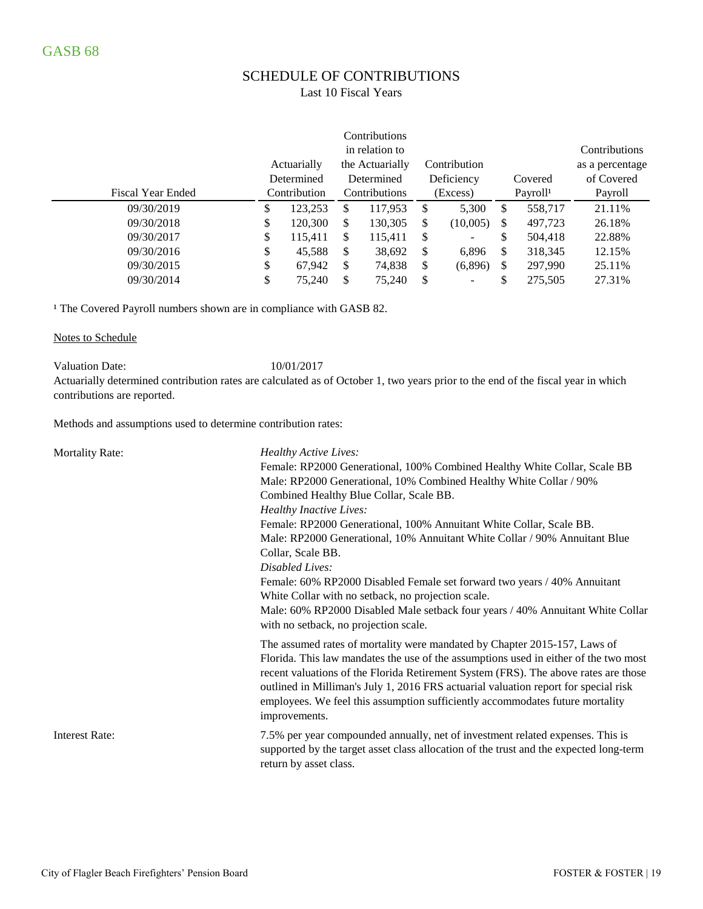# SCHEDULE OF CONTRIBUTIONS

### Last 10 Fiscal Years

|                          |               |     | Contributions   |               |                          |    |                      |                 |
|--------------------------|---------------|-----|-----------------|---------------|--------------------------|----|----------------------|-----------------|
|                          |               |     | in relation to  |               |                          |    |                      | Contributions   |
|                          | Actuarially   |     | the Actuarially |               | Contribution             |    |                      | as a percentage |
|                          | Determined    |     | Determined      |               | Deficiency               |    | Covered              | of Covered      |
| <b>Fiscal Year Ended</b> | Contribution  |     | Contributions   |               | (Excess)                 |    | Payroll <sup>1</sup> | Payroll         |
| 09/30/2019               | \$<br>123.253 | \$. | 117.953         | <sup>\$</sup> | 5,300                    | \$ | 558,717              | 21.11%          |
| 09/30/2018               | \$<br>120,300 | S   | 130,305         | \$            | (10,005)                 | \$ | 497,723              | 26.18%          |
| 09/30/2017               | \$<br>115,411 | \$  | 115,411         | \$            | $\overline{\phantom{a}}$ | \$ | 504,418              | 22.88%          |
| 09/30/2016               | \$<br>45,588  | S   | 38,692          | S             | 6,896                    | S  | 318,345              | 12.15%          |
| 09/30/2015               | \$<br>67.942  | \$  | 74,838          | \$            | (6,896)                  | \$ | 297,990              | 25.11\%         |
| 09/30/2014               | \$<br>75,240  | \$. | 75,240          | S             | $\overline{\phantom{a}}$ |    | 275.505              | 27.31%          |

<sup>1</sup> The Covered Payroll numbers shown are in compliance with GASB 82.

#### Notes to Schedule

Valuation Date: 10/01/2017

Actuarially determined contribution rates are calculated as of October 1, two years prior to the end of the fiscal year in which contributions are reported.

Methods and assumptions used to determine contribution rates:

| <b>Mortality Rate:</b> | Healthy Active Lives:<br>Female: RP2000 Generational, 100% Combined Healthy White Collar, Scale BB<br>Male: RP2000 Generational, 10% Combined Healthy White Collar / 90%<br>Combined Healthy Blue Collar, Scale BB.<br><b>Healthy Inactive Lives:</b><br>Female: RP2000 Generational, 100% Annuitant White Collar, Scale BB.<br>Male: RP2000 Generational, 10% Annuitant White Collar / 90% Annuitant Blue<br>Collar, Scale BB.<br>Disabled Lives:<br>Female: 60% RP2000 Disabled Female set forward two years / 40% Annuitant<br>White Collar with no setback, no projection scale.<br>Male: 60% RP2000 Disabled Male setback four years / 40% Annuitant White Collar<br>with no setback, no projection scale. |
|------------------------|-----------------------------------------------------------------------------------------------------------------------------------------------------------------------------------------------------------------------------------------------------------------------------------------------------------------------------------------------------------------------------------------------------------------------------------------------------------------------------------------------------------------------------------------------------------------------------------------------------------------------------------------------------------------------------------------------------------------|
|                        | The assumed rates of mortality were mandated by Chapter 2015-157, Laws of<br>Florida. This law mandates the use of the assumptions used in either of the two most<br>recent valuations of the Florida Retirement System (FRS). The above rates are those<br>outlined in Milliman's July 1, 2016 FRS actuarial valuation report for special risk<br>employees. We feel this assumption sufficiently accommodates future mortality<br>improvements.                                                                                                                                                                                                                                                               |
| <b>Interest Rate:</b>  | 7.5% per year compounded annually, net of investment related expenses. This is<br>supported by the target asset class allocation of the trust and the expected long-term<br>return by asset class.                                                                                                                                                                                                                                                                                                                                                                                                                                                                                                              |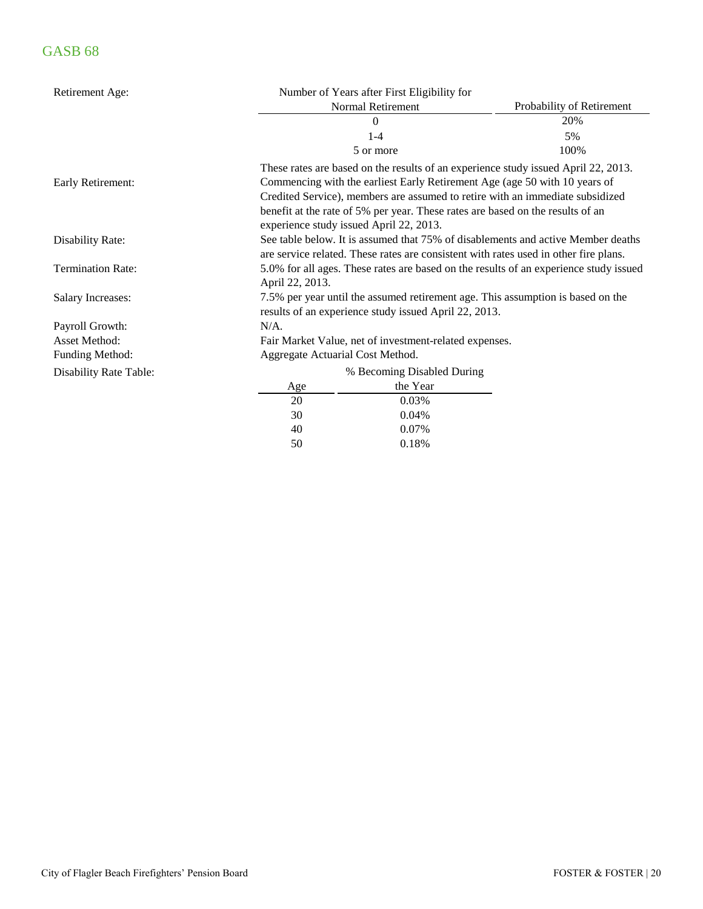| Retirement Age:               | Number of Years after First Eligibility for |                                                        |                                                                                                                                                                                                                                                                                                                                     |  |  |  |  |  |  |  |  |
|-------------------------------|---------------------------------------------|--------------------------------------------------------|-------------------------------------------------------------------------------------------------------------------------------------------------------------------------------------------------------------------------------------------------------------------------------------------------------------------------------------|--|--|--|--|--|--|--|--|
|                               |                                             | Normal Retirement                                      | Probability of Retirement                                                                                                                                                                                                                                                                                                           |  |  |  |  |  |  |  |  |
|                               |                                             | $\theta$                                               | 20%                                                                                                                                                                                                                                                                                                                                 |  |  |  |  |  |  |  |  |
|                               |                                             | $1 - 4$                                                | 5%                                                                                                                                                                                                                                                                                                                                  |  |  |  |  |  |  |  |  |
|                               |                                             | 5 or more                                              | 100%                                                                                                                                                                                                                                                                                                                                |  |  |  |  |  |  |  |  |
| Early Retirement:             |                                             | experience study issued April 22, 2013.                | These rates are based on the results of an experience study issued April 22, 2013.<br>Commencing with the earliest Early Retirement Age (age 50 with 10 years of<br>Credited Service), members are assumed to retire with an immediate subsidized<br>benefit at the rate of 5% per year. These rates are based on the results of an |  |  |  |  |  |  |  |  |
| Disability Rate:              |                                             |                                                        | See table below. It is assumed that 75% of disablements and active Member deaths<br>are service related. These rates are consistent with rates used in other fire plans.                                                                                                                                                            |  |  |  |  |  |  |  |  |
| <b>Termination Rate:</b>      | April 22, 2013.                             |                                                        | 5.0% for all ages. These rates are based on the results of an experience study issued                                                                                                                                                                                                                                               |  |  |  |  |  |  |  |  |
| <b>Salary Increases:</b>      |                                             | results of an experience study issued April 22, 2013.  | 7.5% per year until the assumed retirement age. This assumption is based on the                                                                                                                                                                                                                                                     |  |  |  |  |  |  |  |  |
| Payroll Growth:               | $N/A$ .                                     |                                                        |                                                                                                                                                                                                                                                                                                                                     |  |  |  |  |  |  |  |  |
| <b>Asset Method:</b>          |                                             | Fair Market Value, net of investment-related expenses. |                                                                                                                                                                                                                                                                                                                                     |  |  |  |  |  |  |  |  |
| <b>Funding Method:</b>        | Aggregate Actuarial Cost Method.            |                                                        |                                                                                                                                                                                                                                                                                                                                     |  |  |  |  |  |  |  |  |
| <b>Disability Rate Table:</b> |                                             | % Becoming Disabled During                             |                                                                                                                                                                                                                                                                                                                                     |  |  |  |  |  |  |  |  |
|                               | Age                                         | the Year                                               |                                                                                                                                                                                                                                                                                                                                     |  |  |  |  |  |  |  |  |
|                               | 20                                          | 0.03%                                                  |                                                                                                                                                                                                                                                                                                                                     |  |  |  |  |  |  |  |  |
|                               | 30                                          | 0.04%                                                  |                                                                                                                                                                                                                                                                                                                                     |  |  |  |  |  |  |  |  |
|                               | 40                                          | 0.07%                                                  |                                                                                                                                                                                                                                                                                                                                     |  |  |  |  |  |  |  |  |
|                               | 50                                          | 0.18%                                                  |                                                                                                                                                                                                                                                                                                                                     |  |  |  |  |  |  |  |  |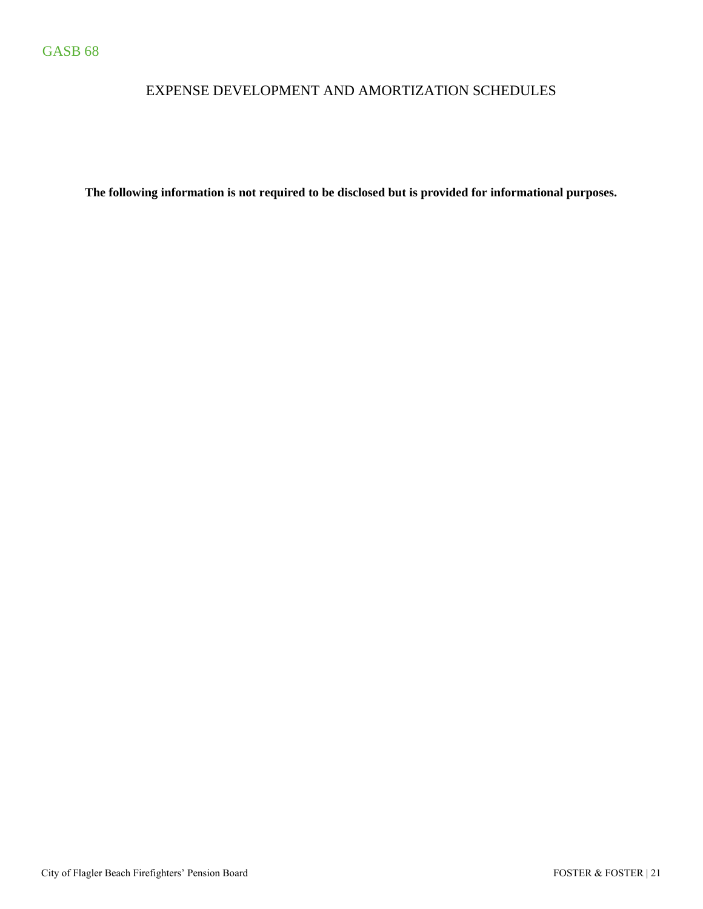# EXPENSE DEVELOPMENT AND AMORTIZATION SCHEDULES

**The following information is not required to be disclosed but is provided for informational purposes.**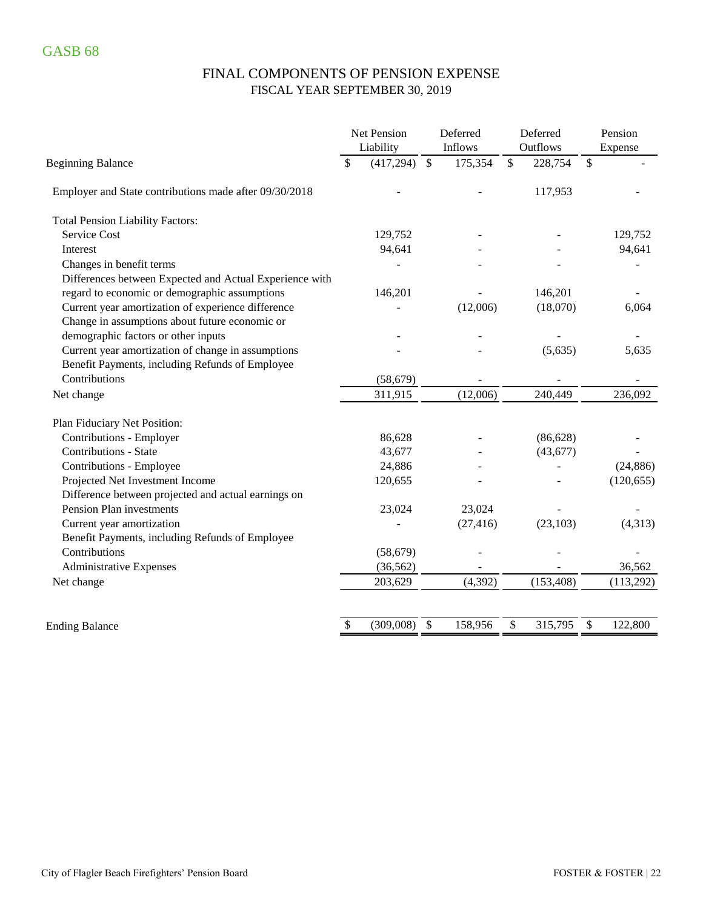# FINAL COMPONENTS OF PENSION EXPENSE FISCAL YEAR SEPTEMBER 30, 2019

|                                                         | <b>Net Pension</b><br>Liability | Deferred<br>Inflows     | Deferred<br>Outflows     | Pension<br>Expense |
|---------------------------------------------------------|---------------------------------|-------------------------|--------------------------|--------------------|
| <b>Beginning Balance</b>                                | (417, 294)<br>\$                | $\mathbb{S}$<br>175,354 | $\mathcal{S}$<br>228,754 | \$                 |
| Employer and State contributions made after 09/30/2018  |                                 |                         | 117,953                  |                    |
| <b>Total Pension Liability Factors:</b>                 |                                 |                         |                          |                    |
| Service Cost                                            | 129,752                         |                         |                          | 129,752            |
| Interest                                                | 94,641                          |                         |                          | 94,641             |
| Changes in benefit terms                                |                                 |                         |                          |                    |
| Differences between Expected and Actual Experience with |                                 |                         |                          |                    |
| regard to economic or demographic assumptions           | 146,201                         |                         | 146,201                  |                    |
| Current year amortization of experience difference      |                                 | (12,006)                | (18,070)                 | 6,064              |
| Change in assumptions about future economic or          |                                 |                         |                          |                    |
| demographic factors or other inputs                     |                                 |                         |                          |                    |
| Current year amortization of change in assumptions      |                                 |                         | (5,635)                  | 5,635              |
| Benefit Payments, including Refunds of Employee         |                                 |                         |                          |                    |
| Contributions                                           | (58, 679)                       |                         |                          |                    |
| Net change                                              | 311,915                         | (12,006)                | 240,449                  | 236,092            |
| Plan Fiduciary Net Position:                            |                                 |                         |                          |                    |
| Contributions - Employer                                | 86,628                          |                         | (86, 628)                |                    |
| <b>Contributions - State</b>                            | 43,677                          |                         | (43, 677)                |                    |
| Contributions - Employee                                | 24,886                          |                         |                          | (24, 886)          |
| Projected Net Investment Income                         | 120,655                         |                         |                          | (120, 655)         |
| Difference between projected and actual earnings on     |                                 |                         |                          |                    |
| Pension Plan investments                                | 23,024                          | 23,024                  |                          |                    |
| Current year amortization                               |                                 | (27, 416)               | (23, 103)                | (4,313)            |
| Benefit Payments, including Refunds of Employee         |                                 |                         |                          |                    |
| Contributions                                           | (58, 679)                       |                         |                          |                    |
| <b>Administrative Expenses</b>                          | (36, 562)                       |                         |                          | 36,562             |
| Net change                                              | 203,629                         | (4, 392)                | (153, 408)               | (113,292)          |
|                                                         |                                 |                         |                          |                    |
| <b>Ending Balance</b>                                   | \$<br>(309,008)                 | \$<br>158,956           | 315,795<br>\$            | \$<br>122,800      |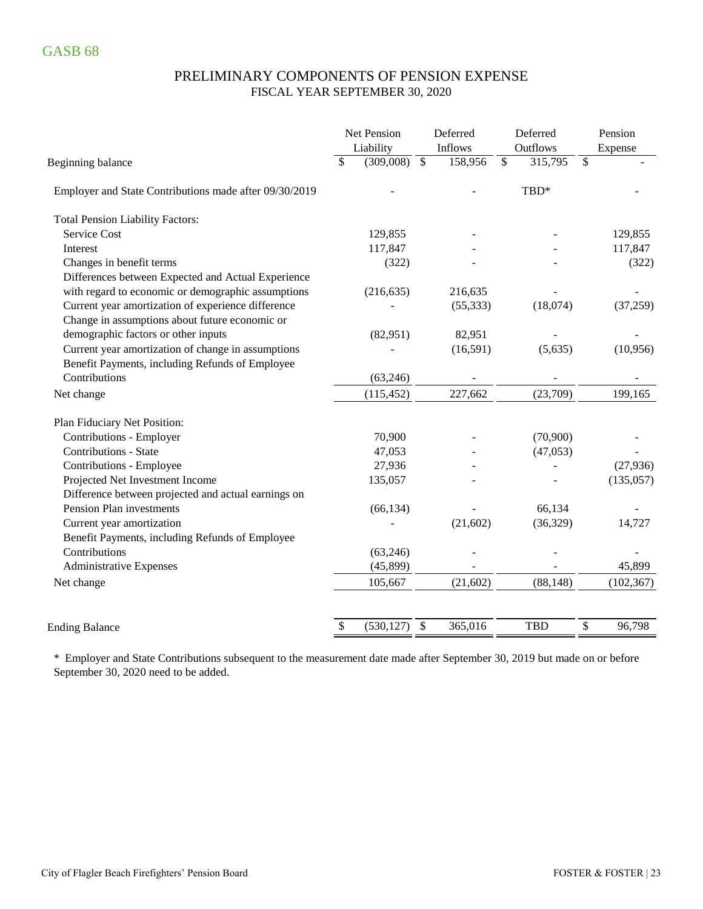### PRELIMINARY COMPONENTS OF PENSION EXPENSE FISCAL YEAR SEPTEMBER 30, 2020

|                                                        | Net Pension<br>Liability |              | Deferred<br>Inflows |              | Deferred<br>Outflows |              | Pension<br>Expense |
|--------------------------------------------------------|--------------------------|--------------|---------------------|--------------|----------------------|--------------|--------------------|
| Beginning balance                                      | \$<br>(309,008)          | $\mathbb{S}$ | 158,956             | $\mathbb{S}$ | 315,795              | $\mathbb{S}$ |                    |
| Employer and State Contributions made after 09/30/2019 |                          |              |                     |              | TBD*                 |              |                    |
| <b>Total Pension Liability Factors:</b>                |                          |              |                     |              |                      |              |                    |
| Service Cost                                           | 129,855                  |              |                     |              |                      |              | 129,855            |
| Interest                                               | 117,847                  |              |                     |              |                      |              | 117,847            |
| Changes in benefit terms                               | (322)                    |              |                     |              |                      |              | (322)              |
| Differences between Expected and Actual Experience     |                          |              |                     |              |                      |              |                    |
| with regard to economic or demographic assumptions     | (216, 635)               |              | 216,635             |              |                      |              |                    |
| Current year amortization of experience difference     |                          |              | (55, 333)           |              | (18,074)             |              | (37,259)           |
| Change in assumptions about future economic or         |                          |              |                     |              |                      |              |                    |
| demographic factors or other inputs                    | (82,951)                 |              | 82,951              |              |                      |              |                    |
| Current year amortization of change in assumptions     |                          |              | (16,591)            |              | (5,635)              |              | (10,956)           |
| Benefit Payments, including Refunds of Employee        |                          |              |                     |              |                      |              |                    |
| Contributions                                          | (63, 246)                |              |                     |              |                      |              |                    |
| Net change                                             | (115, 452)               |              | 227,662             |              | (23,709)             |              | 199,165            |
| Plan Fiduciary Net Position:                           |                          |              |                     |              |                      |              |                    |
| Contributions - Employer                               | 70,900                   |              |                     |              | (70,900)             |              |                    |
| <b>Contributions - State</b>                           | 47,053                   |              |                     |              | (47,053)             |              |                    |
| Contributions - Employee                               | 27,936                   |              |                     |              |                      |              | (27, 936)          |
| Projected Net Investment Income                        | 135,057                  |              |                     |              |                      |              | (135,057)          |
| Difference between projected and actual earnings on    |                          |              |                     |              |                      |              |                    |
| Pension Plan investments                               | (66, 134)                |              |                     |              | 66,134               |              |                    |
| Current year amortization                              |                          |              | (21,602)            |              | (36, 329)            |              | 14,727             |
| Benefit Payments, including Refunds of Employee        |                          |              |                     |              |                      |              |                    |
| Contributions                                          | (63, 246)                |              |                     |              |                      |              |                    |
| Administrative Expenses                                | (45,899)                 |              |                     |              |                      |              | 45,899             |
| Net change                                             | 105,667                  |              | (21,602)            |              | (88, 148)            |              | (102, 367)         |
|                                                        |                          | \$           | 365,016             |              | <b>TBD</b>           |              | 96,798             |
| <b>Ending Balance</b>                                  | \$<br>(530, 127)         |              |                     |              |                      | \$           |                    |

\* Employer and State Contributions subsequent to the measurement date made after September 30, 2019 but made on or before September 30, 2020 need to be added.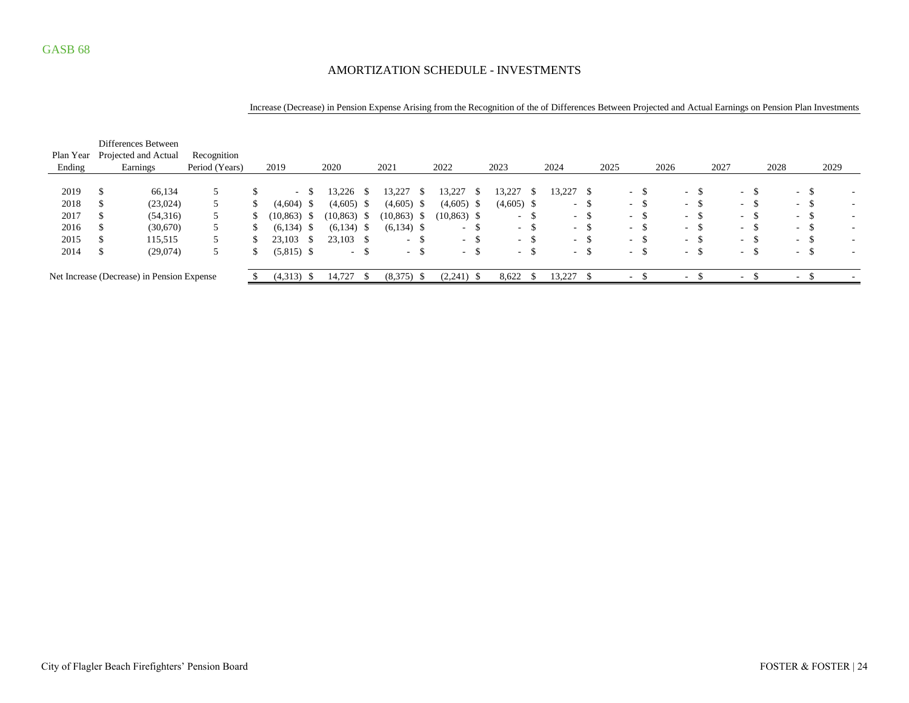### AMORTIZATION SCHEDULE - INVESTMENTS

#### Increase (Decrease) in Pension Expense Arising from the Recognition of the of Differences Between Projected and Actual Earnings on Pension Plan Investments

|           | Differences Between                        |                |                 |      |                          |      |              |      |                  |      |                  |                   |                  |       |                          |        |      |                          |               |                          |      |      |            |               |      |                          |
|-----------|--------------------------------------------|----------------|-----------------|------|--------------------------|------|--------------|------|------------------|------|------------------|-------------------|------------------|-------|--------------------------|--------|------|--------------------------|---------------|--------------------------|------|------|------------|---------------|------|--------------------------|
| Plan Year | Projected and Actual                       | Recognition    |                 |      |                          |      |              |      |                  |      |                  |                   |                  |       |                          |        |      |                          |               |                          |      |      |            |               |      |                          |
| Ending    | Earnings                                   | Period (Years) | 2019            |      | 2020                     |      | 2021         |      | 2022             |      | 2023             |                   | 2024             |       | 2025                     |        | 2026 |                          | 2027          |                          |      | 2028 |            |               | 2029 |                          |
|           |                                            |                |                 |      |                          |      |              |      |                  |      |                  |                   |                  |       |                          |        |      |                          |               |                          |      |      |            |               |      |                          |
| 2019      | 66,134                                     |                | $\sim$ 10 $\pm$ |      | 13,226                   | D.   | 13,227       | -\$  | 3,227            |      | 3,227            |                   | 13,227           |       |                          | $-$ \$ |      | $\sim$                   | Ъ.            | $\sim$                   | D    |      | $\sim$     | \$            |      |                          |
| 2018      | (23,024)                                   |                | (4,604)         | - 5  | (4,605)                  | - \$ | (4,605)      | - \$ | $(4,605)$ \$     |      | $(4,605)$ \$     |                   | $\sim$           | . ა   |                          | $-$ \$ |      | $\sim$                   | - 55          | $\sim$                   | - 33 |      | $\sim$     | -S            |      | $\overline{\phantom{a}}$ |
| 2017      | (54,316)                                   |                | (10, 863)       | - 56 | $(10, 863)$ \$           |      | (10, 863)    | - \$ | $(10, 863)$ \$   |      | $\sim$           | Э                 | $\sim$           | -S    | $\sim$                   | -\$    |      | $\sim$                   | D             | $\overline{\phantom{a}}$ | - 33 |      | $\sim$ $-$ | -S            |      | $\overline{\phantom{a}}$ |
| 2016      | (30,670)                                   | 5              | $(6,134)$ \$    |      | (6, 134)                 | - \$ | $(6,134)$ \$ |      | $\sim$ 100 $\mu$ | - 35 | $\sim$ 100 $\mu$ | ্ঠ                |                  | $- S$ |                          | $-$ \$ |      | $\sim$                   | -S            | $\sim$                   | - 33 |      | $\sim$     | -S            |      |                          |
| 2015      | 115,515                                    |                | 23.103          | - 25 | $23,103$ \$              |      | $\sim$       | -S   | $-$ \$           |      | $\sim$ 10 $\pm$  | $\triangle$<br>্ঠ |                  | $- S$ |                          | $-$ \$ |      | $\sim$                   | -S            | $\sim$                   | - 33 |      | $\sim$     | <sup>\$</sup> |      |                          |
| 2014      | (29,074)                                   |                | $(5,815)$ \$    |      | <b>Contract Contract</b> | - 25 | $\sim$       | -\$  | $\sim$           | D.   | $\sim$           | .ა                | $\sim$ 100 $\mu$ |       | $\sim$                   |        |      | $\sim$                   | <sup>\$</sup> | $\sim$                   | - 33 |      | $\sim$     | $\mathbb{S}$  |      | $\overline{\phantom{a}}$ |
|           | Net Increase (Decrease) in Pension Expense |                | $(4,313)$ \$    |      | 14,727                   |      | (8,375)      | - \$ | $(2,241)$ \$     |      | 8,622            |                   | 13,227           |       | $\overline{\phantom{a}}$ |        |      | $\overline{\phantom{a}}$ |               |                          |      |      | ۰          |               |      |                          |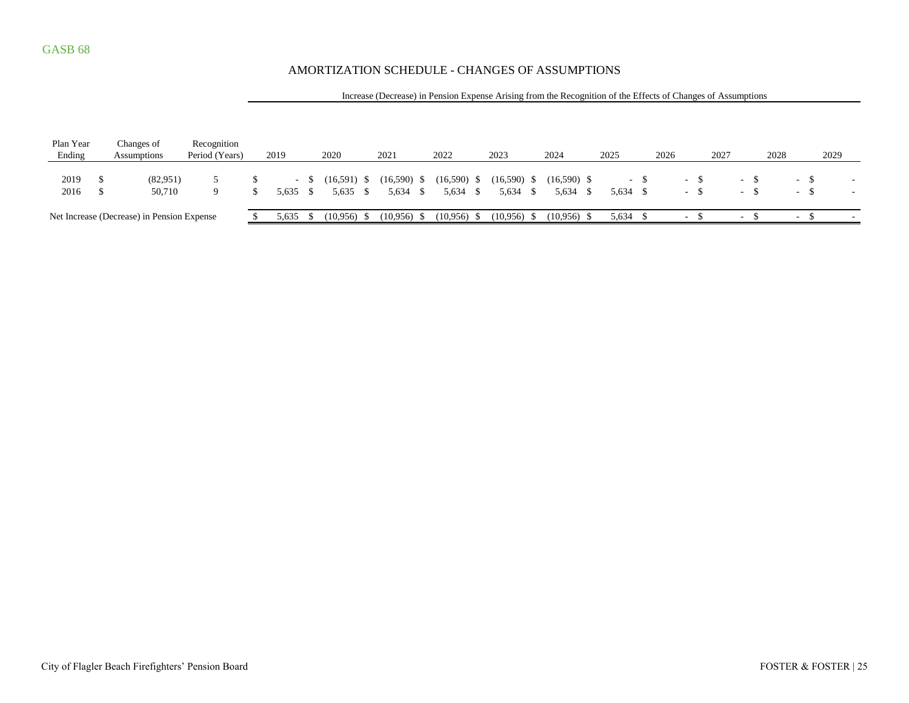### AMORTIZATION SCHEDULE - CHANGES OF ASSUMPTIONS

#### Increase (Decrease) in Pension Expense Arising from the Recognition of the Effects of Changes of Assumptions

| Plan Year<br>Ending | Changes of<br><b>Assumptions</b>           | Recognition<br>Period (Years) | 2019  |               | 2020          | 2021          | 2022          | 2023          | 2024          | 2025     | 2026 | 2027 |   | 2028 |        | 2029 |  |
|---------------------|--------------------------------------------|-------------------------------|-------|---------------|---------------|---------------|---------------|---------------|---------------|----------|------|------|---|------|--------|------|--|
|                     |                                            |                               |       |               |               |               |               |               |               |          |      |      |   |      |        |      |  |
| 2019                | (82,951)                                   |                               |       |               | $(16,591)$ \$ | $(16,590)$ \$ | $(16,590)$ \$ | $(16,590)$ \$ | $(16,590)$ \$ |          |      |      |   |      | - 5    |      |  |
| 2016                | 50.710                                     |                               | 5.635 | $\mathcal{S}$ | 5,635         | 5.634         | 5,634 \$      | 5,634 \$      | 5,634 \$      | 5,634 \$ |      |      | - |      | $-$    |      |  |
|                     | Net Increase (Decrease) in Pension Expense |                               | 5,635 |               | $(10.956)$ \$ | $(10.956)$ \$ | $(10.956)$ \$ | $(10,956)$ \$ | $(10.956)$ \$ | 5,634    |      |      |   |      | $\sim$ |      |  |